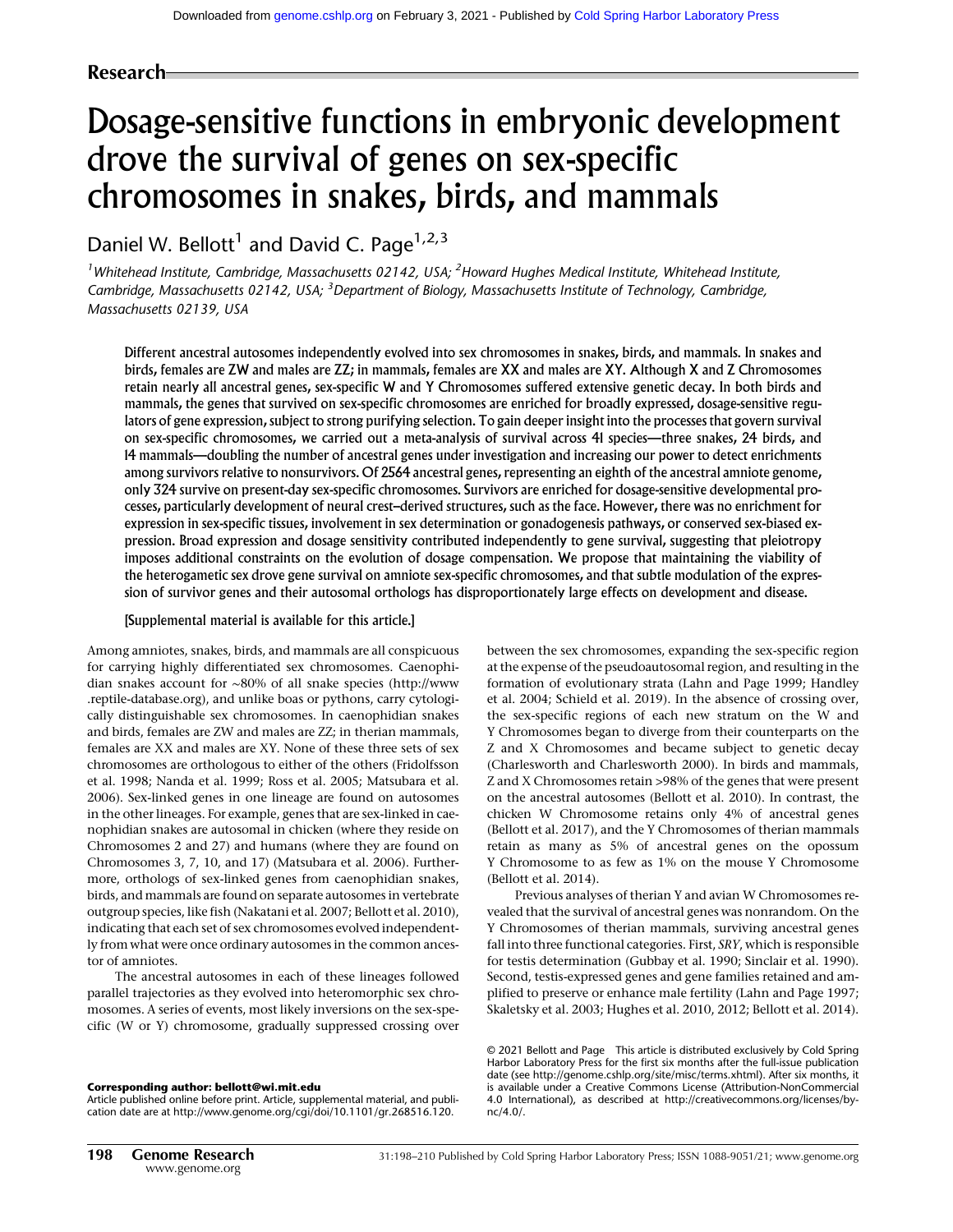# Research

# Dosage-sensitive functions in embryonic development drove the survival of genes on sex-specific chromosomes in snakes, birds, and mammals

Daniel W. Bellott<sup>1</sup> and David C. Page<sup>1,2,3</sup>

<sup>1</sup>Whitehead Institute, Cambridge, Massachusetts 02142, USA; <sup>2</sup>Howard Hughes Medical Institute, Whitehead Institute, Cambridge, Massachusetts 02142, USA; <sup>3</sup>Department of Biology, Massachusetts Institute of Technology, Cambridge, Massachusetts 02139, USA

Different ancestral autosomes independently evolved into sex chromosomes in snakes, birds, and mammals. In snakes and birds, females are ZW and males are ZZ; in mammals, females are XX and males are XY. Although X and Z Chromosomes retain nearly all ancestral genes, sex-specific W and Y Chromosomes suffered extensive genetic decay. In both birds and mammals, the genes that survived on sex-specific chromosomes are enriched for broadly expressed, dosage-sensitive regulators of gene expression, subject to strong purifying selection. To gain deeper insight into the processes that govern survival on sex-specific chromosomes, we carried out a meta-analysis of survival across 41 species—three snakes, 24 birds, and 14 mammals—doubling the number of ancestral genes under investigation and increasing our power to detect enrichments among survivors relative to nonsurvivors. Of 2564 ancestral genes, representing an eighth of the ancestral amniote genome, only 324 survive on present-day sex-specific chromosomes. Survivors are enriched for dosage-sensitive developmental processes, particularly development of neural crest–derived structures, such as the face. However, there was no enrichment for expression in sex-specific tissues, involvement in sex determination or gonadogenesis pathways, or conserved sex-biased expression. Broad expression and dosage sensitivity contributed independently to gene survival, suggesting that pleiotropy imposes additional constraints on the evolution of dosage compensation. We propose that maintaining the viability of the heterogametic sex drove gene survival on amniote sex-specific chromosomes, and that subtle modulation of the expression of survivor genes and their autosomal orthologs has disproportionately large effects on development and disease.

#### [Supplemental material is available for this article.]

Among amniotes, snakes, birds, and mammals are all conspicuous for carrying highly differentiated sex chromosomes. Caenophidian snakes account for ∼80% of all snake species ([http://www](http://www.reptile-database.org) [.reptile-database.org\)](http://www.reptile-database.org), and unlike boas or pythons, carry cytologically distinguishable sex chromosomes. In caenophidian snakes and birds, females are ZW and males are ZZ; in therian mammals, females are XX and males are XY. None of these three sets of sex chromosomes are orthologous to either of the others (Fridolfsson et al. 1998; Nanda et al. 1999; Ross et al. 2005; Matsubara et al. 2006). Sex-linked genes in one lineage are found on autosomes in the other lineages. For example, genes that are sex-linked in caenophidian snakes are autosomal in chicken (where they reside on Chromosomes 2 and 27) and humans (where they are found on Chromosomes 3, 7, 10, and 17) (Matsubara et al. 2006). Furthermore, orthologs of sex-linked genes from caenophidian snakes, birds, and mammals are found on separate autosomes in vertebrate outgroup species, like fish (Nakatani et al. 2007; Bellott et al. 2010), indicating that each set of sex chromosomes evolved independently from what were once ordinary autosomes in the common ancestor of amniotes.

The ancestral autosomes in each of these lineages followed parallel trajectories as they evolved into heteromorphic sex chromosomes. A series of events, most likely inversions on the sex-specific (W or Y) chromosome, gradually suppressed crossing over

#### Corresponding author: [bellott@wi.mit.edu](mailto:bellott@wi.mit.edu)

Article published online before print. Article, supplemental material, and publication date are at [http://www.genome.org/cgi/doi/10.1101/gr.268516.120.](http://www.genome.org/cgi/doi/10.1101/gr.268516.120)

between the sex chromosomes, expanding the sex-specific region at the expense of the pseudoautosomal region, and resulting in the formation of evolutionary strata (Lahn and Page 1999; Handley et al. 2004; Schield et al. 2019). In the absence of crossing over, the sex-specific regions of each new stratum on the W and Y Chromosomes began to diverge from their counterparts on the Z and X Chromosomes and became subject to genetic decay (Charlesworth and Charlesworth 2000). In birds and mammals, Z and X Chromosomes retain >98% of the genes that were present on the ancestral autosomes (Bellott et al. 2010). In contrast, the chicken W Chromosome retains only 4% of ancestral genes (Bellott et al. 2017), and the Y Chromosomes of therian mammals retain as many as 5% of ancestral genes on the opossum Y Chromosome to as few as 1% on the mouse Y Chromosome (Bellott et al. 2014).

Previous analyses of therian Y and avian W Chromosomes revealed that the survival of ancestral genes was nonrandom. On the Y Chromosomes of therian mammals, surviving ancestral genes fall into three functional categories. First, SRY, which is responsible for testis determination (Gubbay et al. 1990; Sinclair et al. 1990). Second, testis-expressed genes and gene families retained and amplified to preserve or enhance male fertility (Lahn and Page 1997; Skaletsky et al. 2003; Hughes et al. 2010, 2012; Bellott et al. 2014).

[© 2021 Bellott and Page](http://genome.cshlp.org/site/misc/terms.xhtml) This article is distributed exclusively by Cold Spring Harbor Laboratory Press for the first six months after the full-issue publication date (see [http://genome.cshlp.org/site/misc/terms.xhtml\)](http://genome.cshlp.org/site/misc/terms.xhtml). After six months, it is available under a Creative Commons License (Attribution-NonCommercial 4.0 International), as described at [http://creativecommons.org/licenses/by](http://creativecommons.org/licenses/by-nc/4.0/)[nc/4.0/.](http://creativecommons.org/licenses/by-nc/4.0/)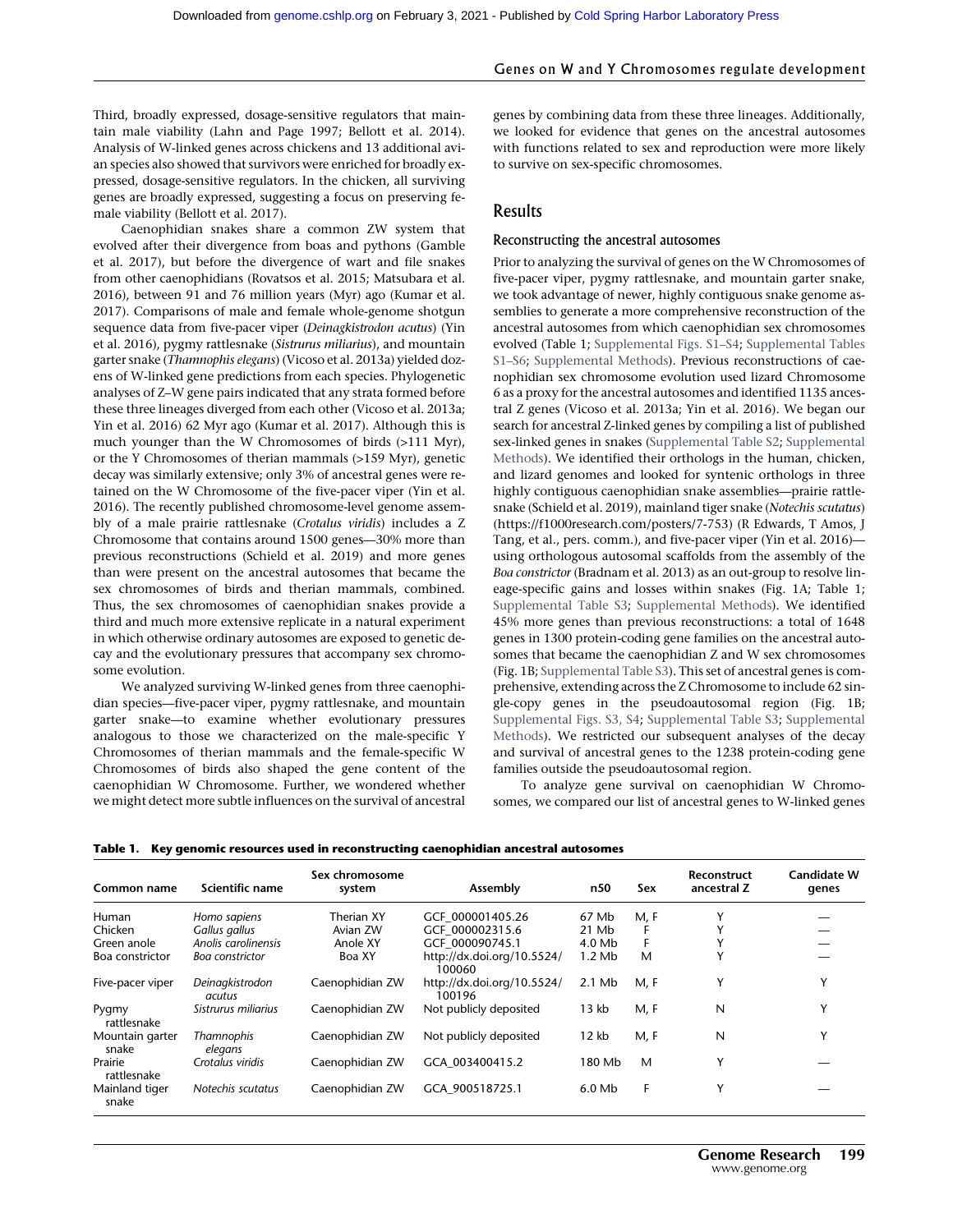# Genes on W and Y Chromosomes regulate development

Third, broadly expressed, dosage-sensitive regulators that maintain male viability (Lahn and Page 1997; Bellott et al. 2014). Analysis of W-linked genes across chickens and 13 additional avian species also showed that survivors were enriched for broadly expressed, dosage-sensitive regulators. In the chicken, all surviving genes are broadly expressed, suggesting a focus on preserving female viability (Bellott et al. 2017).

Caenophidian snakes share a common ZW system that evolved after their divergence from boas and pythons (Gamble et al. 2017), but before the divergence of wart and file snakes from other caenophidians (Rovatsos et al. 2015; Matsubara et al. 2016), between 91 and 76 million years (Myr) ago (Kumar et al. 2017). Comparisons of male and female whole-genome shotgun sequence data from five-pacer viper (Deinagkistrodon acutus) (Yin et al. 2016), pygmy rattlesnake (Sistrurus miliarius), and mountain garter snake (Thamnophis elegans) (Vicoso et al. 2013a) yielded dozens of W-linked gene predictions from each species. Phylogenetic analyses of Z–W gene pairs indicated that any strata formed before these three lineages diverged from each other (Vicoso et al. 2013a; Yin et al. 2016) 62 Myr ago (Kumar et al. 2017). Although this is much younger than the W Chromosomes of birds (>111 Myr), or the Y Chromosomes of therian mammals (>159 Myr), genetic decay was similarly extensive; only 3% of ancestral genes were retained on the W Chromosome of the five-pacer viper (Yin et al. 2016). The recently published chromosome-level genome assembly of a male prairie rattlesnake (Crotalus viridis) includes a Z Chromosome that contains around 1500 genes—30% more than previous reconstructions (Schield et al. 2019) and more genes than were present on the ancestral autosomes that became the sex chromosomes of birds and therian mammals, combined. Thus, the sex chromosomes of caenophidian snakes provide a third and much more extensive replicate in a natural experiment in which otherwise ordinary autosomes are exposed to genetic decay and the evolutionary pressures that accompany sex chromosome evolution.

We analyzed surviving W-linked genes from three caenophidian species—five-pacer viper, pygmy rattlesnake, and mountain garter snake—to examine whether evolutionary pressures analogous to those we characterized on the male-specific Y Chromosomes of therian mammals and the female-specific W Chromosomes of birds also shaped the gene content of the caenophidian W Chromosome. Further, we wondered whether we might detect more subtle influences on the survival of ancestral genes by combining data from these three lineages. Additionally, we looked for evidence that genes on the ancestral autosomes with functions related to sex and reproduction were more likely to survive on sex-specific chromosomes.

# Results

#### Reconstructing the ancestral autosomes

Prior to analyzing the survival of genes on the W Chromosomes of five-pacer viper, pygmy rattlesnake, and mountain garter snake, we took advantage of newer, highly contiguous snake genome assemblies to generate a more comprehensive reconstruction of the ancestral autosomes from which caenophidian sex chromosomes evolved (Table 1; [Supplemental Figs. S1](http://genome.cshlp.org/lookup/suppl/doi:10.1101/gr.268516.120/-/DC1)–S4; [Supplemental Tables](http://genome.cshlp.org/lookup/suppl/doi:10.1101/gr.268516.120/-/DC1) [S1](http://genome.cshlp.org/lookup/suppl/doi:10.1101/gr.268516.120/-/DC1)–S6; [Supplemental Methods](http://genome.cshlp.org/lookup/suppl/doi:10.1101/gr.268516.120/-/DC1)). Previous reconstructions of caenophidian sex chromosome evolution used lizard Chromosome 6 as a proxy for the ancestral autosomes and identified 1135 ancestral Z genes (Vicoso et al. 2013a; Yin et al. 2016). We began our search for ancestral Z-linked genes by compiling a list of published sex-linked genes in snakes ([Supplemental Table S2;](http://genome.cshlp.org/lookup/suppl/doi:10.1101/gr.268516.120/-/DC1) [Supplemental](http://genome.cshlp.org/lookup/suppl/doi:10.1101/gr.268516.120/-/DC1) [Methods](http://genome.cshlp.org/lookup/suppl/doi:10.1101/gr.268516.120/-/DC1)). We identified their orthologs in the human, chicken, and lizard genomes and looked for syntenic orthologs in three highly contiguous caenophidian snake assemblies—prairie rattlesnake (Schield et al. 2019), mainland tiger snake (Notechis scutatus) (<https://f1000research.com/posters/7-753>) (R Edwards, T Amos, J Tang, et al., pers. comm.), and five-pacer viper (Yin et al. 2016) using orthologous autosomal scaffolds from the assembly of the Boa constrictor (Bradnam et al. 2013) as an out-group to resolve lineage-specific gains and losses within snakes (Fig. 1A; Table 1; [Supplemental Table S3](http://genome.cshlp.org/lookup/suppl/doi:10.1101/gr.268516.120/-/DC1); [Supplemental Methods](http://genome.cshlp.org/lookup/suppl/doi:10.1101/gr.268516.120/-/DC1)). We identified 45% more genes than previous reconstructions: a total of 1648 genes in 1300 protein-coding gene families on the ancestral autosomes that became the caenophidian Z and W sex chromosomes (Fig. 1B; [Supplemental Table S3\)](http://genome.cshlp.org/lookup/suppl/doi:10.1101/gr.268516.120/-/DC1). This set of ancestral genes is comprehensive, extending across the Z Chromosome to include 62 single-copy genes in the pseudoautosomal region (Fig. 1B; [Supplemental Figs. S3, S4](http://genome.cshlp.org/lookup/suppl/doi:10.1101/gr.268516.120/-/DC1); [Supplemental Table S3](http://genome.cshlp.org/lookup/suppl/doi:10.1101/gr.268516.120/-/DC1); [Supplemental](http://genome.cshlp.org/lookup/suppl/doi:10.1101/gr.268516.120/-/DC1) [Methods](http://genome.cshlp.org/lookup/suppl/doi:10.1101/gr.268516.120/-/DC1)). We restricted our subsequent analyses of the decay and survival of ancestral genes to the 1238 protein-coding gene families outside the pseudoautosomal region.

To analyze gene survival on caenophidian W Chromosomes, we compared our list of ancestral genes to W-linked genes

|  |  | Table 1. Key genomic resources used in reconstructing caenophidian ancestral autosomes |  |
|--|--|----------------------------------------------------------------------------------------|--|
|--|--|----------------------------------------------------------------------------------------|--|

| Common name              | Scientific name              | Sex chromosome<br>system | Assembly                             | n50      | Sex  | <b>Reconstruct</b><br>ancestral Z | <b>Candidate W</b><br>genes |
|--------------------------|------------------------------|--------------------------|--------------------------------------|----------|------|-----------------------------------|-----------------------------|
| Human                    | Homo sapiens                 | Therian XY               | GCF 000001405.26                     | 67 Mb    | M, F | v                                 |                             |
| Chicken                  | Gallus gallus                | Avian ZW                 | GCF 000002315.6                      | 21 Mb    |      |                                   |                             |
| Green anole              | Anolis carolinensis          | Anole XY                 | GCF 000090745.1                      | 4.0 Mb   |      |                                   |                             |
| Boa constrictor          | Boa constrictor              | Boa XY                   | http://dx.doi.org/10.5524/<br>100060 | $1.2$ Mb | M    |                                   |                             |
| Five-pacer viper         | Deinagkistrodon<br>acutus    | Caenophidian ZW          | http://dx.doi.org/10.5524/<br>100196 | $2.1$ Mb | M, F | Υ                                 | v                           |
| Pygmy<br>rattlesnake     | Sistrurus miliarius          | Caenophidian ZW          | Not publicly deposited               | 13 kb    | M, F | N                                 | v                           |
| Mountain garter<br>snake | <b>Thamnophis</b><br>elegans | Caenophidian ZW          | Not publicly deposited               | 12 kb    | M, F | N                                 | Y                           |
| Prairie<br>rattlesnake   | Crotalus viridis             | Caenophidian ZW          | GCA 003400415.2                      | 180 Mb   | M    | Υ                                 |                             |
| Mainland tiger<br>snake  | Notechis scutatus            | Caenophidian ZW          | GCA 900518725.1                      | $6.0$ Mb | F    | Y                                 |                             |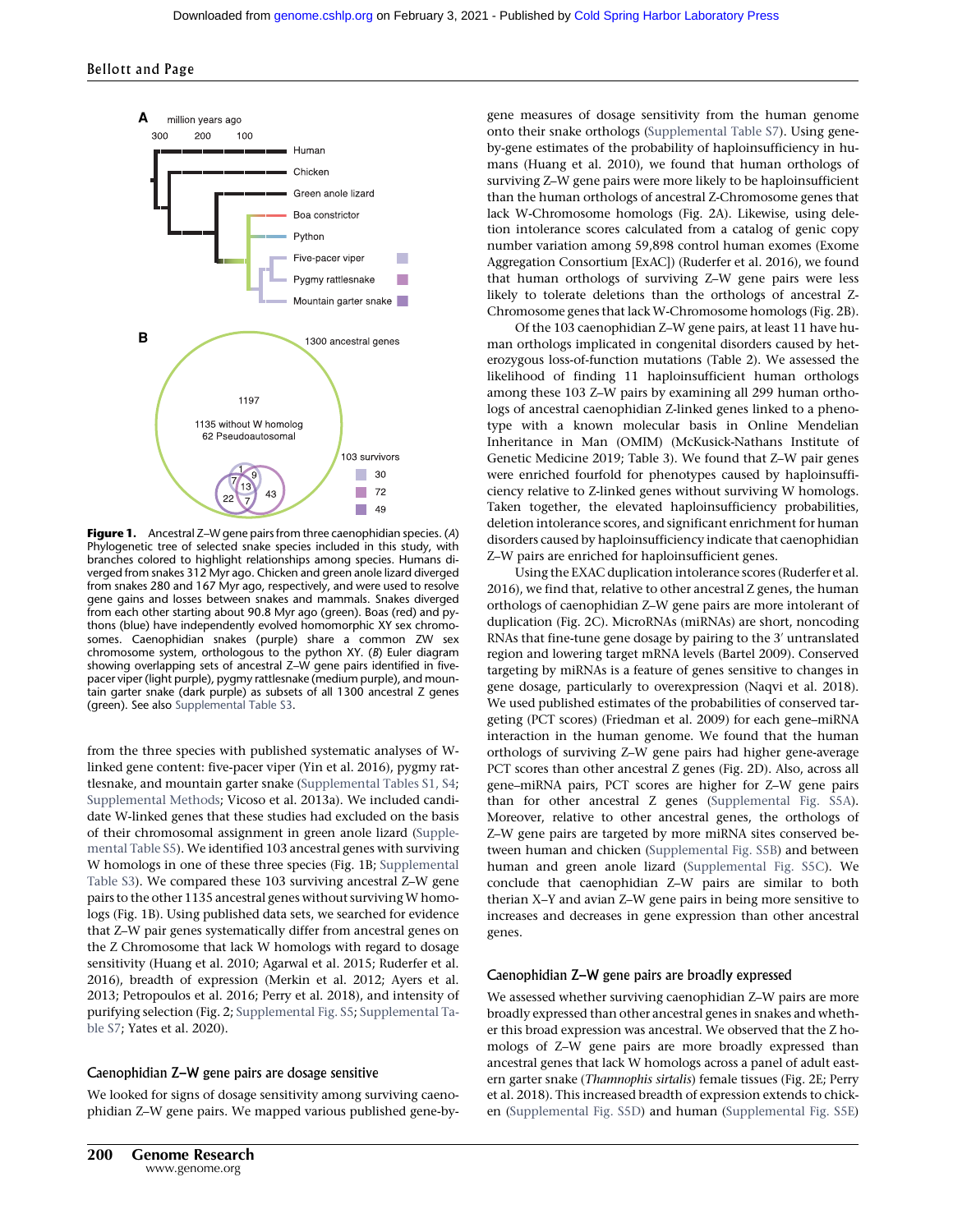

Figure 1. Ancestral Z–W gene pairs from three caenophidian species. (A) Phylogenetic tree of selected snake species included in this study, with branches colored to highlight relationships among species. Humans diverged from snakes 312 Myr ago. Chicken and green anole lizard diverged from snakes 280 and 167 Myr ago, respectively, and were used to resolve gene gains and losses between snakes and mammals. Snakes diverged from each other starting about 90.8 Myr ago (green). Boas (red) and pythons (blue) have independently evolved homomorphic XY sex chromosomes. Caenophidian snakes (purple) share a common ZW sex chromosome system, orthologous to the python XY. (B) Euler diagram showing overlapping sets of ancestral Z–W gene pairs identified in fivepacer viper (light purple), pygmy rattlesnake (medium purple), and mountain garter snake (dark purple) as subsets of all 1300 ancestral Z genes (green). See also [Supplemental Table S3.](http://genome.cshlp.org/lookup/suppl/doi:10.1101/gr.268516.120/-/DC1)

from the three species with published systematic analyses of Wlinked gene content: five-pacer viper (Yin et al. 2016), pygmy rattlesnake, and mountain garter snake ([Supplemental Tables S1, S4;](http://genome.cshlp.org/lookup/suppl/doi:10.1101/gr.268516.120/-/DC1) [Supplemental Methods](http://genome.cshlp.org/lookup/suppl/doi:10.1101/gr.268516.120/-/DC1); Vicoso et al. 2013a). We included candidate W-linked genes that these studies had excluded on the basis of their chromosomal assignment in green anole lizard ([Supple](http://genome.cshlp.org/lookup/suppl/doi:10.1101/gr.268516.120/-/DC1)[mental Table S5](http://genome.cshlp.org/lookup/suppl/doi:10.1101/gr.268516.120/-/DC1)). We identified 103 ancestral genes with surviving W homologs in one of these three species (Fig. 1B; [Supplemental](http://genome.cshlp.org/lookup/suppl/doi:10.1101/gr.268516.120/-/DC1) [Table S3\)](http://genome.cshlp.org/lookup/suppl/doi:10.1101/gr.268516.120/-/DC1). We compared these 103 surviving ancestral Z–W gene pairs to the other 1135 ancestral genes without surviving W homologs (Fig. 1B). Using published data sets, we searched for evidence that Z–W pair genes systematically differ from ancestral genes on the Z Chromosome that lack W homologs with regard to dosage sensitivity (Huang et al. 2010; Agarwal et al. 2015; Ruderfer et al. 2016), breadth of expression (Merkin et al. 2012; Ayers et al. 2013; Petropoulos et al. 2016; Perry et al. 2018), and intensity of purifying selection (Fig. 2; [Supplemental Fig. S5](http://genome.cshlp.org/lookup/suppl/doi:10.1101/gr.268516.120/-/DC1); [Supplemental Ta](http://genome.cshlp.org/lookup/suppl/doi:10.1101/gr.268516.120/-/DC1)[ble S7;](http://genome.cshlp.org/lookup/suppl/doi:10.1101/gr.268516.120/-/DC1) Yates et al. 2020).

#### Caenophidian Z–W gene pairs are dosage sensitive

We looked for signs of dosage sensitivity among surviving caenophidian Z–W gene pairs. We mapped various published gene-bygene measures of dosage sensitivity from the human genome onto their snake orthologs ([Supplemental Table S7\)](http://genome.cshlp.org/lookup/suppl/doi:10.1101/gr.268516.120/-/DC1). Using geneby-gene estimates of the probability of haploinsufficiency in humans (Huang et al. 2010), we found that human orthologs of surviving Z–W gene pairs were more likely to be haploinsufficient than the human orthologs of ancestral Z-Chromosome genes that lack W-Chromosome homologs (Fig. 2A). Likewise, using deletion intolerance scores calculated from a catalog of genic copy number variation among 59,898 control human exomes (Exome Aggregation Consortium [ExAC]) (Ruderfer et al. 2016), we found that human orthologs of surviving Z–W gene pairs were less likely to tolerate deletions than the orthologs of ancestral Z-Chromosome genes that lack W-Chromosome homologs (Fig. 2B).

Of the 103 caenophidian Z–W gene pairs, at least 11 have human orthologs implicated in congenital disorders caused by heterozygous loss-of-function mutations (Table 2). We assessed the likelihood of finding 11 haploinsufficient human orthologs among these 103 Z–W pairs by examining all 299 human orthologs of ancestral caenophidian Z-linked genes linked to a phenotype with a known molecular basis in Online Mendelian Inheritance in Man (OMIM) (McKusick-Nathans Institute of Genetic Medicine 2019; Table 3). We found that Z–W pair genes were enriched fourfold for phenotypes caused by haploinsufficiency relative to Z-linked genes without surviving W homologs. Taken together, the elevated haploinsufficiency probabilities, deletion intolerance scores, and significant enrichment for human disorders caused by haploinsufficiency indicate that caenophidian Z–W pairs are enriched for haploinsufficient genes.

Using the EXAC duplication intolerance scores (Ruderfer et al. 2016), we find that, relative to other ancestral Z genes, the human orthologs of caenophidian Z–W gene pairs are more intolerant of duplication (Fig. 2C). MicroRNAs (miRNAs) are short, noncoding RNAs that fine-tune gene dosage by pairing to the 3′ untranslated region and lowering target mRNA levels (Bartel 2009). Conserved targeting by miRNAs is a feature of genes sensitive to changes in gene dosage, particularly to overexpression (Naqvi et al. 2018). We used published estimates of the probabilities of conserved targeting (PCT scores) (Friedman et al. 2009) for each gene–miRNA interaction in the human genome. We found that the human orthologs of surviving Z–W gene pairs had higher gene-average PCT scores than other ancestral Z genes (Fig. 2D). Also, across all gene–miRNA pairs, PCT scores are higher for Z–W gene pairs than for other ancestral Z genes [\(Supplemental Fig. S5A](http://genome.cshlp.org/lookup/suppl/doi:10.1101/gr.268516.120/-/DC1)). Moreover, relative to other ancestral genes, the orthologs of Z–W gene pairs are targeted by more miRNA sites conserved between human and chicken [\(Supplemental Fig. S5B\)](http://genome.cshlp.org/lookup/suppl/doi:10.1101/gr.268516.120/-/DC1) and between human and green anole lizard ([Supplemental Fig. S5C\)](http://genome.cshlp.org/lookup/suppl/doi:10.1101/gr.268516.120/-/DC1). We conclude that caenophidian Z–W pairs are similar to both therian X–Y and avian Z–W gene pairs in being more sensitive to increases and decreases in gene expression than other ancestral genes.

#### Caenophidian Z–W gene pairs are broadly expressed

We assessed whether surviving caenophidian Z–W pairs are more broadly expressed than other ancestral genes in snakes and whether this broad expression was ancestral. We observed that the Z homologs of Z–W gene pairs are more broadly expressed than ancestral genes that lack W homologs across a panel of adult eastern garter snake (Thamnophis sirtalis) female tissues (Fig. 2E; Perry et al. 2018). This increased breadth of expression extends to chicken ([Supplemental Fig. S5D\)](http://genome.cshlp.org/lookup/suppl/doi:10.1101/gr.268516.120/-/DC1) and human ([Supplemental Fig. S5E](http://genome.cshlp.org/lookup/suppl/doi:10.1101/gr.268516.120/-/DC1))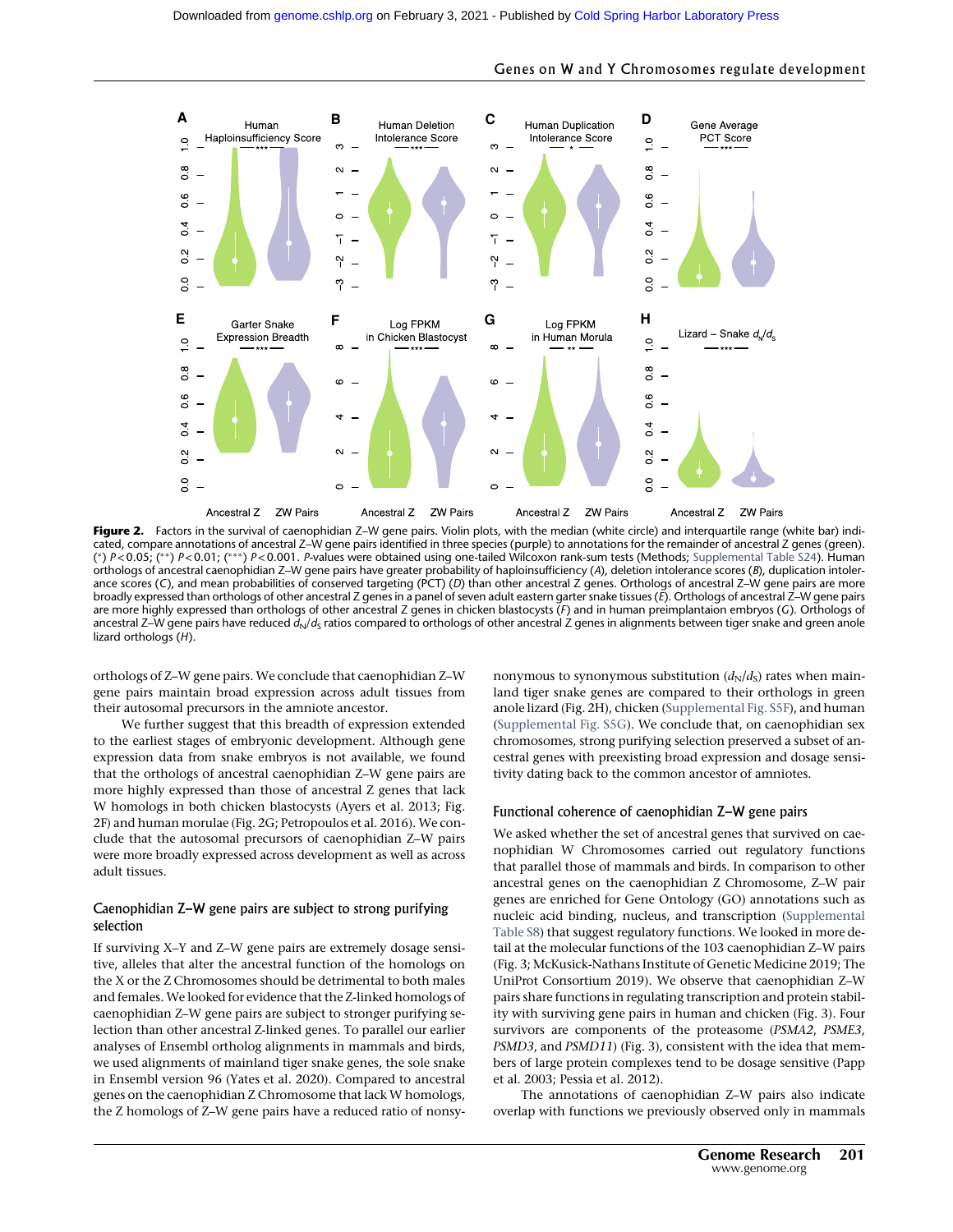

Figure 2. Factors in the survival of caenophidian Z-W gene pairs. Violin plots, with the median (white circle) and interquartile range (white bar) indicated, compare annotations of ancestral Z–W gene pairs identified in three species (purple) to annotations for the remainder of ancestral Z genes (green). (\*) P<0.05; (\*\*) P<0.01; (\*\*\*) P<0.001. P-values were obtained using one-tailed Wilcoxon rank-sum tests (Methods; [Supplemental Table S24\)](http://genome.cshlp.org/lookup/suppl/doi:10.1101/gr.268516.120/-/DC1). Human orthologs of ancestral caenophidian Z-W gene pairs have greater probability of haploinsufficiency (A), deletion intolerance scores (B), duplication intolerance scores (C), and mean probabilities of conserved targeting (PCT) (D) than other ancestral Z genes. Orthologs of ancestral Z–W gene pairs are more broadly expressed than orthologs of other ancestral Z genes in a panel of seven adult eastern garter snake tissues (E). Orthologs of ancestral Z–W gene pairs are more highly expressed than orthologs of other ancestral Z genes in chicken blastocysts (F) and in human preimplantaion embryos (G). Orthologs of ancestral Z–W gene pairs have reduced  $d_N/d_S$  ratios compared to orthologs of other ancestral Z genes in alignments between tiger snake and green anole lizard orthologs (H).

orthologs of Z–W gene pairs. We conclude that caenophidian Z–W gene pairs maintain broad expression across adult tissues from their autosomal precursors in the amniote ancestor.

We further suggest that this breadth of expression extended to the earliest stages of embryonic development. Although gene expression data from snake embryos is not available, we found that the orthologs of ancestral caenophidian Z–W gene pairs are more highly expressed than those of ancestral Z genes that lack W homologs in both chicken blastocysts (Ayers et al. 2013; Fig. 2F) and human morulae (Fig. 2G; Petropoulos et al. 2016). We conclude that the autosomal precursors of caenophidian Z–W pairs were more broadly expressed across development as well as across adult tissues.

#### Caenophidian Z–W gene pairs are subject to strong purifying selection

If surviving X–Y and Z–W gene pairs are extremely dosage sensitive, alleles that alter the ancestral function of the homologs on the X or the Z Chromosomes should be detrimental to both males and females. We looked for evidence that the Z-linked homologs of caenophidian Z–W gene pairs are subject to stronger purifying selection than other ancestral Z-linked genes. To parallel our earlier analyses of Ensembl ortholog alignments in mammals and birds, we used alignments of mainland tiger snake genes, the sole snake in Ensembl version 96 (Yates et al. 2020). Compared to ancestral genes on the caenophidian Z Chromosome that lack W homologs, the Z homologs of Z–W gene pairs have a reduced ratio of nonsy-

nonymous to synonymous substitution  $(d_N/d_S)$  rates when mainland tiger snake genes are compared to their orthologs in green anole lizard (Fig. 2H), chicken ([Supplemental Fig. S5F](http://genome.cshlp.org/lookup/suppl/doi:10.1101/gr.268516.120/-/DC1)), and human ([Supplemental Fig. S5G\)](http://genome.cshlp.org/lookup/suppl/doi:10.1101/gr.268516.120/-/DC1). We conclude that, on caenophidian sex chromosomes, strong purifying selection preserved a subset of ancestral genes with preexisting broad expression and dosage sensitivity dating back to the common ancestor of amniotes.

Genes on W and Y Chromosomes regulate development

#### Functional coherence of caenophidian Z–W gene pairs

We asked whether the set of ancestral genes that survived on caenophidian W Chromosomes carried out regulatory functions that parallel those of mammals and birds. In comparison to other ancestral genes on the caenophidian Z Chromosome, Z–W pair genes are enriched for Gene Ontology (GO) annotations such as nucleic acid binding, nucleus, and transcription [\(Supplemental](http://genome.cshlp.org/lookup/suppl/doi:10.1101/gr.268516.120/-/DC1) [Table S8](http://genome.cshlp.org/lookup/suppl/doi:10.1101/gr.268516.120/-/DC1)) that suggest regulatory functions. We looked in more detail at the molecular functions of the 103 caenophidian Z–W pairs (Fig. 3; McKusick-Nathans Institute of Genetic Medicine 2019; The UniProt Consortium 2019). We observe that caenophidian Z–W pairs share functions in regulating transcription and protein stability with surviving gene pairs in human and chicken (Fig. 3). Four survivors are components of the proteasome (PSMA2, PSME3, PSMD3, and PSMD11) (Fig. 3), consistent with the idea that members of large protein complexes tend to be dosage sensitive (Papp et al. 2003; Pessia et al. 2012).

The annotations of caenophidian Z–W pairs also indicate overlap with functions we previously observed only in mammals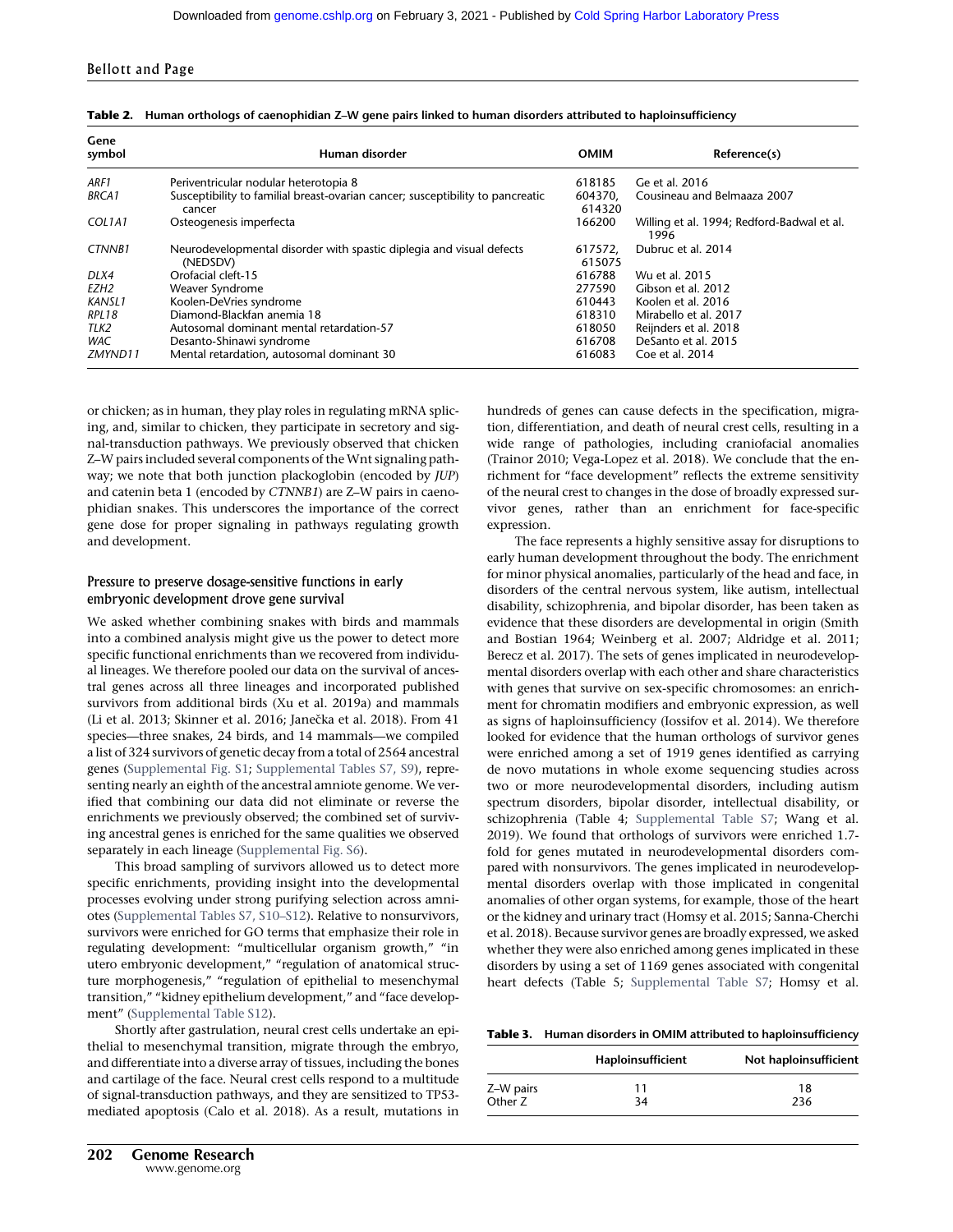| Gene<br>symbol | Human disorder                                                                           | <b>OMIM</b>       | Reference(s)                                       |
|----------------|------------------------------------------------------------------------------------------|-------------------|----------------------------------------------------|
| ARF1           | Periventricular nodular heterotopia 8                                                    | 618185            | Ge et al. 2016                                     |
| <b>BRCA1</b>   | Susceptibility to familial breast-ovarian cancer; susceptibility to pancreatic<br>cancer | 604370.<br>614320 | Cousineau and Belmaaza 2007                        |
| COL1A1         | Osteogenesis imperfecta                                                                  | 166200            | Willing et al. 1994; Redford-Badwal et al.<br>1996 |
| CTNNB1         | Neurodevelopmental disorder with spastic diplegia and visual defects<br>(NEDSDV)         | 617572.<br>615075 | Dubruc et al. 2014                                 |
| DLX4           | Orofacial cleft-15                                                                       | 616788            | Wu et al. 2015                                     |
| EZH2           | Weaver Syndrome                                                                          | 277590            | Gibson et al. 2012                                 |
| KANSL1         | Koolen-DeVries syndrome                                                                  | 610443            | Koolen et al. 2016                                 |
| RPL18          | Diamond-Blackfan anemia 18                                                               | 618310            | Mirabello et al. 2017                              |
| TLK2           | Autosomal dominant mental retardation-57                                                 | 618050            | Reijnders et al. 2018                              |
| <b>WAC</b>     | Desanto-Shinawi syndrome                                                                 | 616708            | DeSanto et al. 2015                                |
| ZMYND11        | Mental retardation, autosomal dominant 30                                                | 616083            | Coe et al. 2014                                    |

| Table 2. Human orthologs of caenophidian Z-W gene pairs linked to human disorders attributed to haploinsufficiency |  |  |
|--------------------------------------------------------------------------------------------------------------------|--|--|
|                                                                                                                    |  |  |

or chicken; as in human, they play roles in regulating mRNA splicing, and, similar to chicken, they participate in secretory and signal-transduction pathways. We previously observed that chicken Z–W pairs included several components of the Wnt signaling pathway; we note that both junction plackoglobin (encoded by JUP) and catenin beta 1 (encoded by CTNNB1) are Z–W pairs in caenophidian snakes. This underscores the importance of the correct gene dose for proper signaling in pathways regulating growth and development.

#### Pressure to preserve dosage-sensitive functions in early embryonic development drove gene survival

We asked whether combining snakes with birds and mammals into a combined analysis might give us the power to detect more specific functional enrichments than we recovered from individual lineages. We therefore pooled our data on the survival of ancestral genes across all three lineages and incorporated published survivors from additional birds (Xu et al. 2019a) and mammals (Li et al. 2013; Skinner et al. 2016; Janeč ka et al. 2018). From 41 species—three snakes, 24 birds, and 14 mammals—we compiled a list of 324 survivors of genetic decay from a total of 2564 ancestral genes [\(Supplemental Fig. S1;](http://genome.cshlp.org/lookup/suppl/doi:10.1101/gr.268516.120/-/DC1) [Supplemental Tables S7, S9](http://genome.cshlp.org/lookup/suppl/doi:10.1101/gr.268516.120/-/DC1)), representing nearly an eighth of the ancestral amniote genome. We verified that combining our data did not eliminate or reverse the enrichments we previously observed; the combined set of surviving ancestral genes is enriched for the same qualities we observed separately in each lineage ([Supplemental Fig. S6](http://genome.cshlp.org/lookup/suppl/doi:10.1101/gr.268516.120/-/DC1)).

This broad sampling of survivors allowed us to detect more specific enrichments, providing insight into the developmental processes evolving under strong purifying selection across amniotes ([Supplemental Tables S7, S10](http://genome.cshlp.org/lookup/suppl/doi:10.1101/gr.268516.120/-/DC1)–S12). Relative to nonsurvivors, survivors were enriched for GO terms that emphasize their role in regulating development: "multicellular organism growth," "in utero embryonic development," "regulation of anatomical structure morphogenesis," "regulation of epithelial to mesenchymal transition," "kidney epithelium development," and "face development" [\(Supplemental Table S12](http://genome.cshlp.org/lookup/suppl/doi:10.1101/gr.268516.120/-/DC1)).

Shortly after gastrulation, neural crest cells undertake an epithelial to mesenchymal transition, migrate through the embryo, and differentiate into a diverse array of tissues, including the bones and cartilage of the face. Neural crest cells respond to a multitude of signal-transduction pathways, and they are sensitized to TP53 mediated apoptosis (Calo et al. 2018). As a result, mutations in hundreds of genes can cause defects in the specification, migration, differentiation, and death of neural crest cells, resulting in a wide range of pathologies, including craniofacial anomalies (Trainor 2010; Vega-Lopez et al. 2018). We conclude that the enrichment for "face development" reflects the extreme sensitivity of the neural crest to changes in the dose of broadly expressed survivor genes, rather than an enrichment for face-specific expression.

The face represents a highly sensitive assay for disruptions to early human development throughout the body. The enrichment for minor physical anomalies, particularly of the head and face, in disorders of the central nervous system, like autism, intellectual disability, schizophrenia, and bipolar disorder, has been taken as evidence that these disorders are developmental in origin (Smith and Bostian 1964; Weinberg et al. 2007; Aldridge et al. 2011; Berecz et al. 2017). The sets of genes implicated in neurodevelopmental disorders overlap with each other and share characteristics with genes that survive on sex-specific chromosomes: an enrichment for chromatin modifiers and embryonic expression, as well as signs of haploinsufficiency (Iossifov et al. 2014). We therefore looked for evidence that the human orthologs of survivor genes were enriched among a set of 1919 genes identified as carrying de novo mutations in whole exome sequencing studies across two or more neurodevelopmental disorders, including autism spectrum disorders, bipolar disorder, intellectual disability, or schizophrenia (Table 4; [Supplemental Table S7;](http://genome.cshlp.org/lookup/suppl/doi:10.1101/gr.268516.120/-/DC1) Wang et al. 2019). We found that orthologs of survivors were enriched 1.7 fold for genes mutated in neurodevelopmental disorders compared with nonsurvivors. The genes implicated in neurodevelopmental disorders overlap with those implicated in congenital anomalies of other organ systems, for example, those of the heart or the kidney and urinary tract (Homsy et al. 2015; Sanna-Cherchi et al. 2018). Because survivor genes are broadly expressed, we asked whether they were also enriched among genes implicated in these disorders by using a set of 1169 genes associated with congenital heart defects (Table 5; [Supplemental Table S7](http://genome.cshlp.org/lookup/suppl/doi:10.1101/gr.268516.120/-/DC1); Homsy et al.

Table 3. Human disorders in OMIM attributed to haploinsufficiency

|           | Haploinsufficient | Not haploinsufficient |
|-----------|-------------------|-----------------------|
| Z-W pairs | 11                | 18                    |
| Other Z   | 34                | 236                   |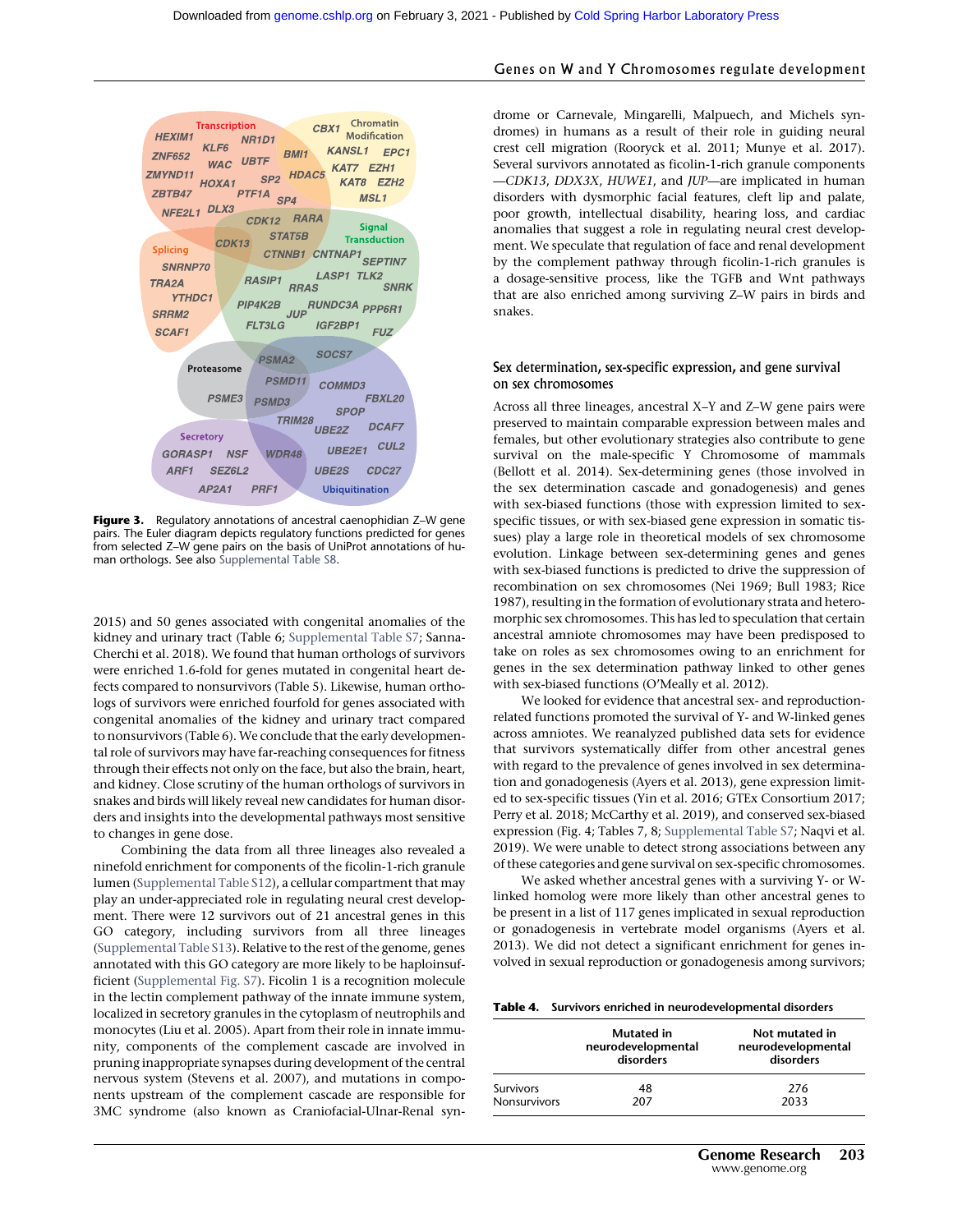

Figure 3. Regulatory annotations of ancestral caenophidian Z-W gene pairs. The Euler diagram depicts regulatory functions predicted for genes from selected Z–W gene pairs on the basis of UniProt annotations of human orthologs. See also [Supplemental Table S8](http://genome.cshlp.org/lookup/suppl/doi:10.1101/gr.268516.120/-/DC1).

2015) and 50 genes associated with congenital anomalies of the kidney and urinary tract (Table 6; [Supplemental Table S7](http://genome.cshlp.org/lookup/suppl/doi:10.1101/gr.268516.120/-/DC1); Sanna-Cherchi et al. 2018). We found that human orthologs of survivors were enriched 1.6-fold for genes mutated in congenital heart defects compared to nonsurvivors (Table 5). Likewise, human orthologs of survivors were enriched fourfold for genes associated with congenital anomalies of the kidney and urinary tract compared to nonsurvivors (Table 6). We conclude that the early developmental role of survivors may have far-reaching consequences for fitness through their effects not only on the face, but also the brain, heart, and kidney. Close scrutiny of the human orthologs of survivors in snakes and birds will likely reveal new candidates for human disorders and insights into the developmental pathways most sensitive to changes in gene dose.

Combining the data from all three lineages also revealed a ninefold enrichment for components of the ficolin-1-rich granule lumen [\(Supplemental Table S12\)](http://genome.cshlp.org/lookup/suppl/doi:10.1101/gr.268516.120/-/DC1), a cellular compartment that may play an under-appreciated role in regulating neural crest development. There were 12 survivors out of 21 ancestral genes in this GO category, including survivors from all three lineages ([Supplemental Table S13](http://genome.cshlp.org/lookup/suppl/doi:10.1101/gr.268516.120/-/DC1)). Relative to the rest of the genome, genes annotated with this GO category are more likely to be haploinsufficient ([Supplemental Fig. S7](http://genome.cshlp.org/lookup/suppl/doi:10.1101/gr.268516.120/-/DC1)). Ficolin 1 is a recognition molecule in the lectin complement pathway of the innate immune system, localized in secretory granules in the cytoplasm of neutrophils and monocytes (Liu et al. 2005). Apart from their role in innate immunity, components of the complement cascade are involved in pruning inappropriate synapses during development of the central nervous system (Stevens et al. 2007), and mutations in components upstream of the complement cascade are responsible for 3MC syndrome (also known as Craniofacial-Ulnar-Renal syn-

#### Genes on W and Y Chromosomes regulate development

drome or Carnevale, Mingarelli, Malpuech, and Michels syndromes) in humans as a result of their role in guiding neural crest cell migration (Rooryck et al. 2011; Munye et al. 2017). Several survivors annotated as ficolin-1-rich granule components —CDK13, DDX3X, HUWE1, and JUP—are implicated in human disorders with dysmorphic facial features, cleft lip and palate, poor growth, intellectual disability, hearing loss, and cardiac anomalies that suggest a role in regulating neural crest development. We speculate that regulation of face and renal development by the complement pathway through ficolin-1-rich granules is a dosage-sensitive process, like the TGFB and Wnt pathways that are also enriched among surviving Z–W pairs in birds and snakes.

#### Sex determination, sex-specific expression, and gene survival on sex chromosomes

Across all three lineages, ancestral X–Y and Z–W gene pairs were preserved to maintain comparable expression between males and females, but other evolutionary strategies also contribute to gene survival on the male-specific Y Chromosome of mammals (Bellott et al. 2014). Sex-determining genes (those involved in the sex determination cascade and gonadogenesis) and genes with sex-biased functions (those with expression limited to sexspecific tissues, or with sex-biased gene expression in somatic tissues) play a large role in theoretical models of sex chromosome evolution. Linkage between sex-determining genes and genes with sex-biased functions is predicted to drive the suppression of recombination on sex chromosomes (Nei 1969; Bull 1983; Rice 1987), resulting in the formation of evolutionary strata and heteromorphic sex chromosomes. This has led to speculation that certain ancestral amniote chromosomes may have been predisposed to take on roles as sex chromosomes owing to an enrichment for genes in the sex determination pathway linked to other genes with sex-biased functions (O'Meally et al. 2012).

We looked for evidence that ancestral sex- and reproductionrelated functions promoted the survival of Y- and W-linked genes across amniotes. We reanalyzed published data sets for evidence that survivors systematically differ from other ancestral genes with regard to the prevalence of genes involved in sex determination and gonadogenesis (Ayers et al. 2013), gene expression limited to sex-specific tissues (Yin et al. 2016; GTEx Consortium 2017; Perry et al. 2018; McCarthy et al. 2019), and conserved sex-biased expression (Fig. 4; Tables 7, 8; [Supplemental Table S7](http://genome.cshlp.org/lookup/suppl/doi:10.1101/gr.268516.120/-/DC1); Naqvi et al. 2019). We were unable to detect strong associations between any of these categories and gene survival on sex-specific chromosomes.

We asked whether ancestral genes with a surviving Y- or Wlinked homolog were more likely than other ancestral genes to be present in a list of 117 genes implicated in sexual reproduction or gonadogenesis in vertebrate model organisms (Ayers et al. 2013). We did not detect a significant enrichment for genes involved in sexual reproduction or gonadogenesis among survivors;

| <b>Table 4.</b> Survivors enriched in neurodevelopmental disorders |  |
|--------------------------------------------------------------------|--|
|--------------------------------------------------------------------|--|

|                     | <b>Mutated</b> in<br>neurodevelopmental<br>disorders | Not mutated in<br>neurodevelopmental<br>disorders |
|---------------------|------------------------------------------------------|---------------------------------------------------|
| <b>Survivors</b>    | 48                                                   | 276                                               |
| <b>Nonsurvivors</b> | 207                                                  | 2033                                              |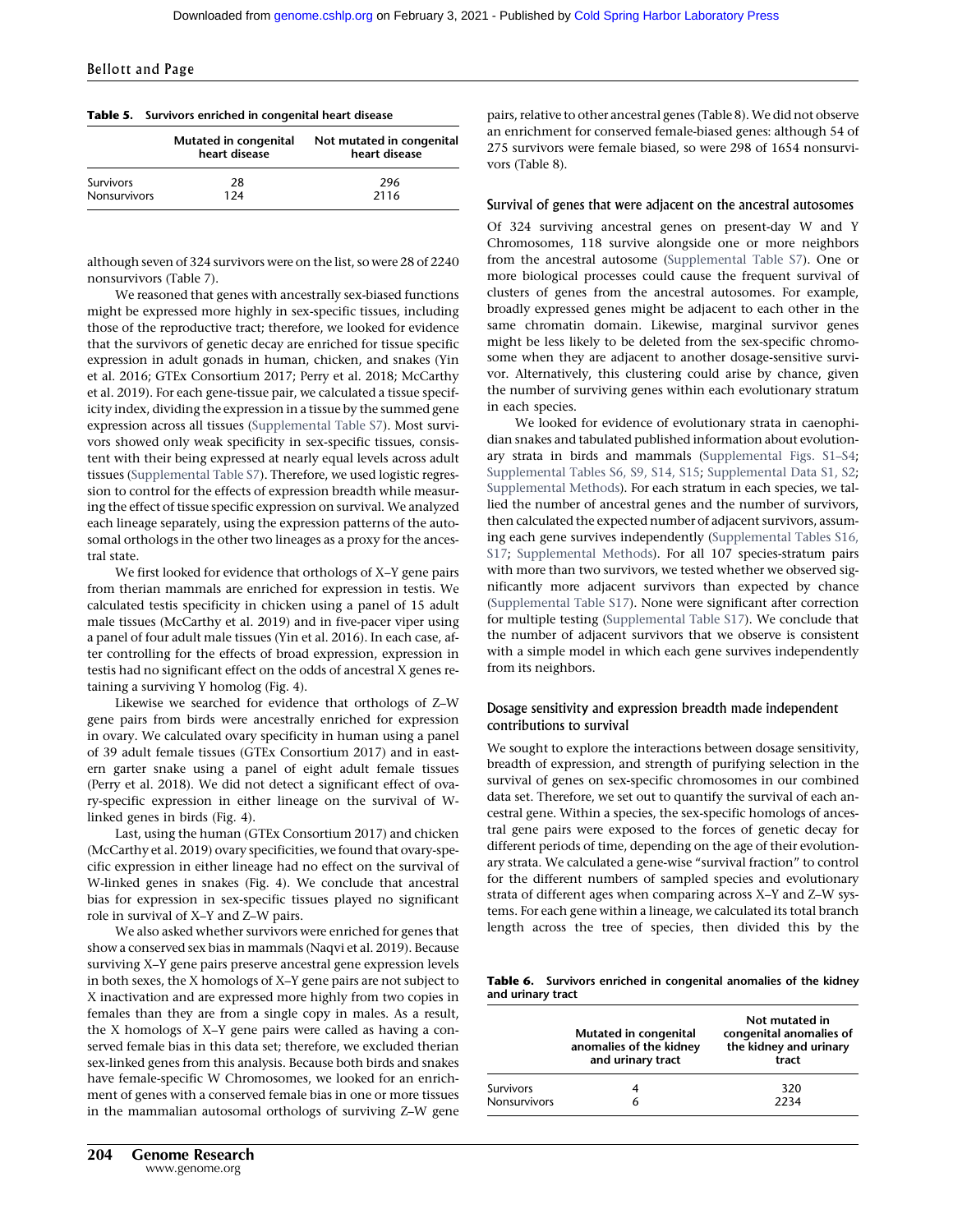|                     | Mutated in congenital<br>heart disease | Not mutated in congenital<br>heart disease |
|---------------------|----------------------------------------|--------------------------------------------|
| <b>Survivors</b>    | 28                                     | 296                                        |
| <b>Nonsurvivors</b> | 1 24                                   | 2116                                       |

although seven of 324 survivors were on the list, so were 28 of 2240 nonsurvivors (Table 7).

We reasoned that genes with ancestrally sex-biased functions might be expressed more highly in sex-specific tissues, including those of the reproductive tract; therefore, we looked for evidence that the survivors of genetic decay are enriched for tissue specific expression in adult gonads in human, chicken, and snakes (Yin et al. 2016; GTEx Consortium 2017; Perry et al. 2018; McCarthy et al. 2019). For each gene-tissue pair, we calculated a tissue specificity index, dividing the expression in a tissue by the summed gene expression across all tissues [\(Supplemental Table S7](http://genome.cshlp.org/lookup/suppl/doi:10.1101/gr.268516.120/-/DC1)). Most survivors showed only weak specificity in sex-specific tissues, consistent with their being expressed at nearly equal levels across adult tissues [\(Supplemental Table S7](http://genome.cshlp.org/lookup/suppl/doi:10.1101/gr.268516.120/-/DC1)). Therefore, we used logistic regression to control for the effects of expression breadth while measuring the effect of tissue specific expression on survival. We analyzed each lineage separately, using the expression patterns of the autosomal orthologs in the other two lineages as a proxy for the ancestral state.

We first looked for evidence that orthologs of X–Y gene pairs from therian mammals are enriched for expression in testis. We calculated testis specificity in chicken using a panel of 15 adult male tissues (McCarthy et al. 2019) and in five-pacer viper using a panel of four adult male tissues (Yin et al. 2016). In each case, after controlling for the effects of broad expression, expression in testis had no significant effect on the odds of ancestral X genes retaining a surviving Y homolog (Fig. 4).

Likewise we searched for evidence that orthologs of Z–W gene pairs from birds were ancestrally enriched for expression in ovary. We calculated ovary specificity in human using a panel of 39 adult female tissues (GTEx Consortium 2017) and in eastern garter snake using a panel of eight adult female tissues (Perry et al. 2018). We did not detect a significant effect of ovary-specific expression in either lineage on the survival of Wlinked genes in birds (Fig. 4).

Last, using the human (GTEx Consortium 2017) and chicken (McCarthy et al. 2019) ovary specificities, we found that ovary-specific expression in either lineage had no effect on the survival of W-linked genes in snakes (Fig. 4). We conclude that ancestral bias for expression in sex-specific tissues played no significant role in survival of X–Y and Z–W pairs.

We also asked whether survivors were enriched for genes that show a conserved sex bias in mammals (Naqvi et al. 2019). Because surviving X–Y gene pairs preserve ancestral gene expression levels in both sexes, the X homologs of X–Y gene pairs are not subject to X inactivation and are expressed more highly from two copies in females than they are from a single copy in males. As a result, the X homologs of X–Y gene pairs were called as having a conserved female bias in this data set; therefore, we excluded therian sex-linked genes from this analysis. Because both birds and snakes have female-specific W Chromosomes, we looked for an enrichment of genes with a conserved female bias in one or more tissues in the mammalian autosomal orthologs of surviving Z–W gene

204 Genome Research www.genome.org

pairs, relative to other ancestral genes (Table 8). We did not observe an enrichment for conserved female-biased genes: although 54 of 275 survivors were female biased, so were 298 of 1654 nonsurvivors (Table 8).

#### Survival of genes that were adjacent on the ancestral autosomes

Of 324 surviving ancestral genes on present-day W and Y Chromosomes, 118 survive alongside one or more neighbors from the ancestral autosome [\(Supplemental Table S7\)](http://genome.cshlp.org/lookup/suppl/doi:10.1101/gr.268516.120/-/DC1). One or more biological processes could cause the frequent survival of clusters of genes from the ancestral autosomes. For example, broadly expressed genes might be adjacent to each other in the same chromatin domain. Likewise, marginal survivor genes might be less likely to be deleted from the sex-specific chromosome when they are adjacent to another dosage-sensitive survivor. Alternatively, this clustering could arise by chance, given the number of surviving genes within each evolutionary stratum in each species.

We looked for evidence of evolutionary strata in caenophidian snakes and tabulated published information about evolutionary strata in birds and mammals ([Supplemental Figs. S1](http://genome.cshlp.org/lookup/suppl/doi:10.1101/gr.268516.120/-/DC1)–S4; [Supplemental Tables S6, S9, S14, S15;](http://genome.cshlp.org/lookup/suppl/doi:10.1101/gr.268516.120/-/DC1) [Supplemental Data S1, S2;](http://genome.cshlp.org/lookup/suppl/doi:10.1101/gr.268516.120/-/DC1) [Supplemental Methods](http://genome.cshlp.org/lookup/suppl/doi:10.1101/gr.268516.120/-/DC1)). For each stratum in each species, we tallied the number of ancestral genes and the number of survivors, then calculated the expected number of adjacent survivors, assuming each gene survives independently ([Supplemental Tables S16,](http://genome.cshlp.org/lookup/suppl/doi:10.1101/gr.268516.120/-/DC1) [S17](http://genome.cshlp.org/lookup/suppl/doi:10.1101/gr.268516.120/-/DC1); [Supplemental Methods](http://genome.cshlp.org/lookup/suppl/doi:10.1101/gr.268516.120/-/DC1)). For all 107 species-stratum pairs with more than two survivors, we tested whether we observed significantly more adjacent survivors than expected by chance ([Supplemental Table S17\)](http://genome.cshlp.org/lookup/suppl/doi:10.1101/gr.268516.120/-/DC1). None were significant after correction for multiple testing ([Supplemental Table S17\)](http://genome.cshlp.org/lookup/suppl/doi:10.1101/gr.268516.120/-/DC1). We conclude that the number of adjacent survivors that we observe is consistent with a simple model in which each gene survives independently from its neighbors.

#### Dosage sensitivity and expression breadth made independent contributions to survival

We sought to explore the interactions between dosage sensitivity, breadth of expression, and strength of purifying selection in the survival of genes on sex-specific chromosomes in our combined data set. Therefore, we set out to quantify the survival of each ancestral gene. Within a species, the sex-specific homologs of ancestral gene pairs were exposed to the forces of genetic decay for different periods of time, depending on the age of their evolutionary strata. We calculated a gene-wise "survival fraction" to control for the different numbers of sampled species and evolutionary strata of different ages when comparing across X–Y and Z–W systems. For each gene within a lineage, we calculated its total branch length across the tree of species, then divided this by the

Table 6. Survivors enriched in congenital anomalies of the kidney and urinary tract

|                     | Mutated in congenital<br>anomalies of the kidney<br>and urinary tract | Not mutated in<br>congenital anomalies of<br>the kidney and urinary<br>tract |
|---------------------|-----------------------------------------------------------------------|------------------------------------------------------------------------------|
| Survivors           |                                                                       | 320                                                                          |
| <b>Nonsurvivors</b> | 6                                                                     | 2234                                                                         |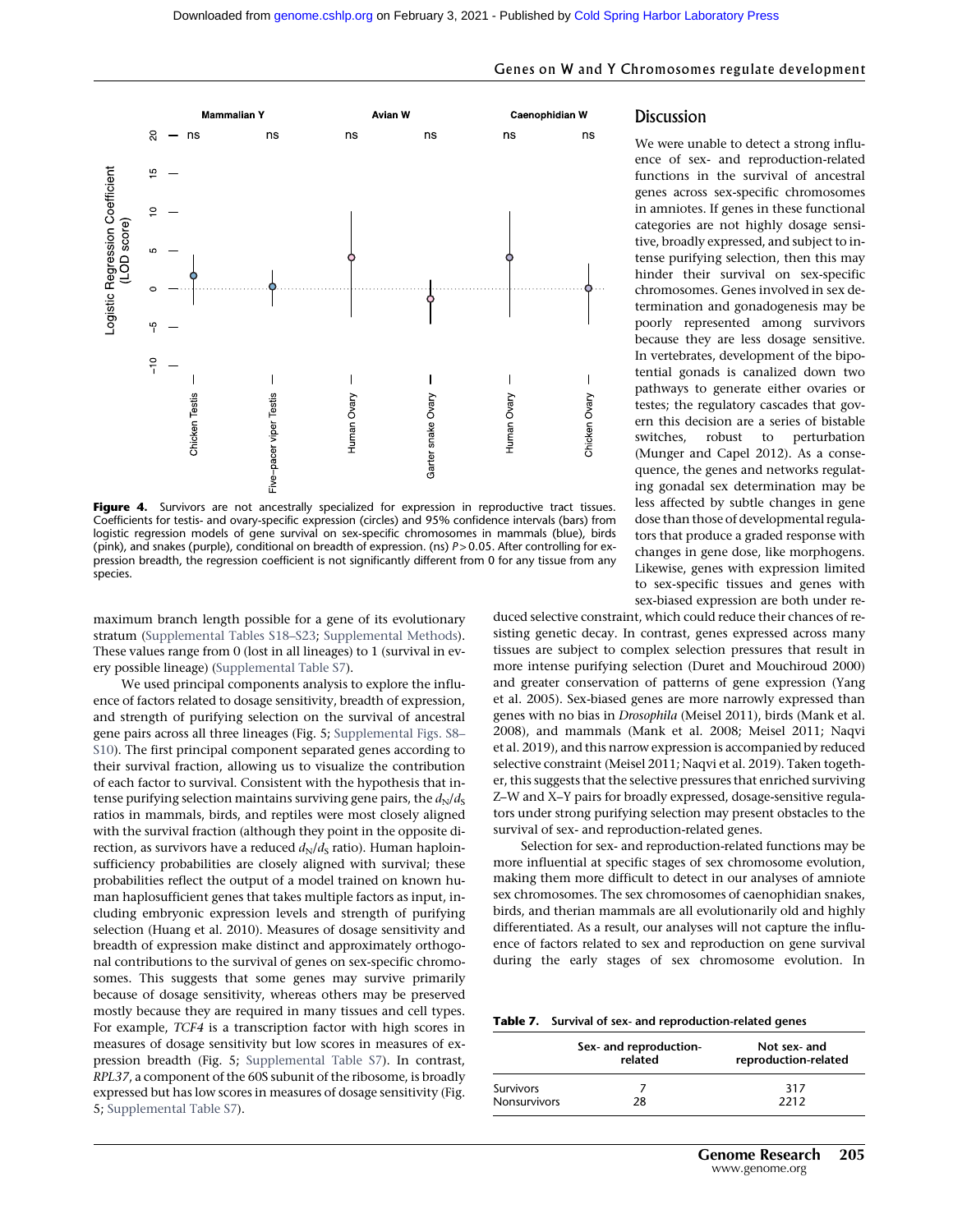

Figure 4. Survivors are not ancestrally specialized for expression in reproductive tract tissues. Coefficients for testis- and ovary-specific expression (circles) and 95% confidence intervals (bars) from logistic regression models of gene survival on sex-specific chromosomes in mammals (blue), birds (pink), and snakes (purple), conditional on breadth of expression. (ns) P > 0.05. After controlling for expression breadth, the regression coefficient is not significantly different from 0 for any tissue from any species.

maximum branch length possible for a gene of its evolutionary stratum ([Supplemental Tables S18](http://genome.cshlp.org/lookup/suppl/doi:10.1101/gr.268516.120/-/DC1)–S23; [Supplemental Methods](http://genome.cshlp.org/lookup/suppl/doi:10.1101/gr.268516.120/-/DC1)). These values range from 0 (lost in all lineages) to 1 (survival in every possible lineage) ([Supplemental Table S7](http://genome.cshlp.org/lookup/suppl/doi:10.1101/gr.268516.120/-/DC1)).

We used principal components analysis to explore the influence of factors related to dosage sensitivity, breadth of expression, and strength of purifying selection on the survival of ancestral gene pairs across all three lineages (Fig. 5; [Supplemental Figs. S8](http://genome.cshlp.org/lookup/suppl/doi:10.1101/gr.268516.120/-/DC1)– [S10](http://genome.cshlp.org/lookup/suppl/doi:10.1101/gr.268516.120/-/DC1)). The first principal component separated genes according to their survival fraction, allowing us to visualize the contribution of each factor to survival. Consistent with the hypothesis that intense purifying selection maintains surviving gene pairs, the  $d_N/d_S$ ratios in mammals, birds, and reptiles were most closely aligned with the survival fraction (although they point in the opposite direction, as survivors have a reduced  $d_N/d_S$  ratio). Human haploinsufficiency probabilities are closely aligned with survival; these probabilities reflect the output of a model trained on known human haplosufficient genes that takes multiple factors as input, including embryonic expression levels and strength of purifying selection (Huang et al. 2010). Measures of dosage sensitivity and breadth of expression make distinct and approximately orthogonal contributions to the survival of genes on sex-specific chromosomes. This suggests that some genes may survive primarily because of dosage sensitivity, whereas others may be preserved mostly because they are required in many tissues and cell types. For example, TCF4 is a transcription factor with high scores in measures of dosage sensitivity but low scores in measures of expression breadth (Fig. 5; [Supplemental Table S7\)](http://genome.cshlp.org/lookup/suppl/doi:10.1101/gr.268516.120/-/DC1). In contrast, RPL37, a component of the 60S subunit of the ribosome, is broadly expressed but has low scores in measures of dosage sensitivity (Fig. 5; [Supplemental Table S7](http://genome.cshlp.org/lookup/suppl/doi:10.1101/gr.268516.120/-/DC1)).

#### Genes on W and Y Chromosomes regulate development

#### **Discussion**

We were unable to detect a strong influence of sex- and reproduction-related functions in the survival of ancestral genes across sex-specific chromosomes in amniotes. If genes in these functional categories are not highly dosage sensitive, broadly expressed, and subject to intense purifying selection, then this may hinder their survival on sex-specific chromosomes. Genes involved in sex determination and gonadogenesis may be poorly represented among survivors because they are less dosage sensitive. In vertebrates, development of the bipotential gonads is canalized down two pathways to generate either ovaries or testes; the regulatory cascades that govern this decision are a series of bistable switches, robust to perturbation (Munger and Capel 2012). As a consequence, the genes and networks regulating gonadal sex determination may be less affected by subtle changes in gene dose than those of developmental regulators that produce a graded response with changes in gene dose, like morphogens. Likewise, genes with expression limited to sex-specific tissues and genes with sex-biased expression are both under re-

duced selective constraint, which could reduce their chances of resisting genetic decay. In contrast, genes expressed across many tissues are subject to complex selection pressures that result in more intense purifying selection (Duret and Mouchiroud 2000) and greater conservation of patterns of gene expression (Yang et al. 2005). Sex-biased genes are more narrowly expressed than genes with no bias in Drosophila (Meisel 2011), birds (Mank et al. 2008), and mammals (Mank et al. 2008; Meisel 2011; Naqvi et al. 2019), and this narrow expression is accompanied by reduced selective constraint (Meisel 2011; Naqvi et al. 2019). Taken together, this suggests that the selective pressures that enriched surviving Z–W and X–Y pairs for broadly expressed, dosage-sensitive regulators under strong purifying selection may present obstacles to the survival of sex- and reproduction-related genes.

Selection for sex- and reproduction-related functions may be more influential at specific stages of sex chromosome evolution, making them more difficult to detect in our analyses of amniote sex chromosomes. The sex chromosomes of caenophidian snakes, birds, and therian mammals are all evolutionarily old and highly differentiated. As a result, our analyses will not capture the influence of factors related to sex and reproduction on gene survival during the early stages of sex chromosome evolution. In

Table 7. Survival of sex- and reproduction-related genes

|                                  | Sex- and reproduction-<br>related | Not sex- and<br>reproduction-related |
|----------------------------------|-----------------------------------|--------------------------------------|
| <b>Survivors</b><br>Nonsurvivors | 28                                | 317<br>2212                          |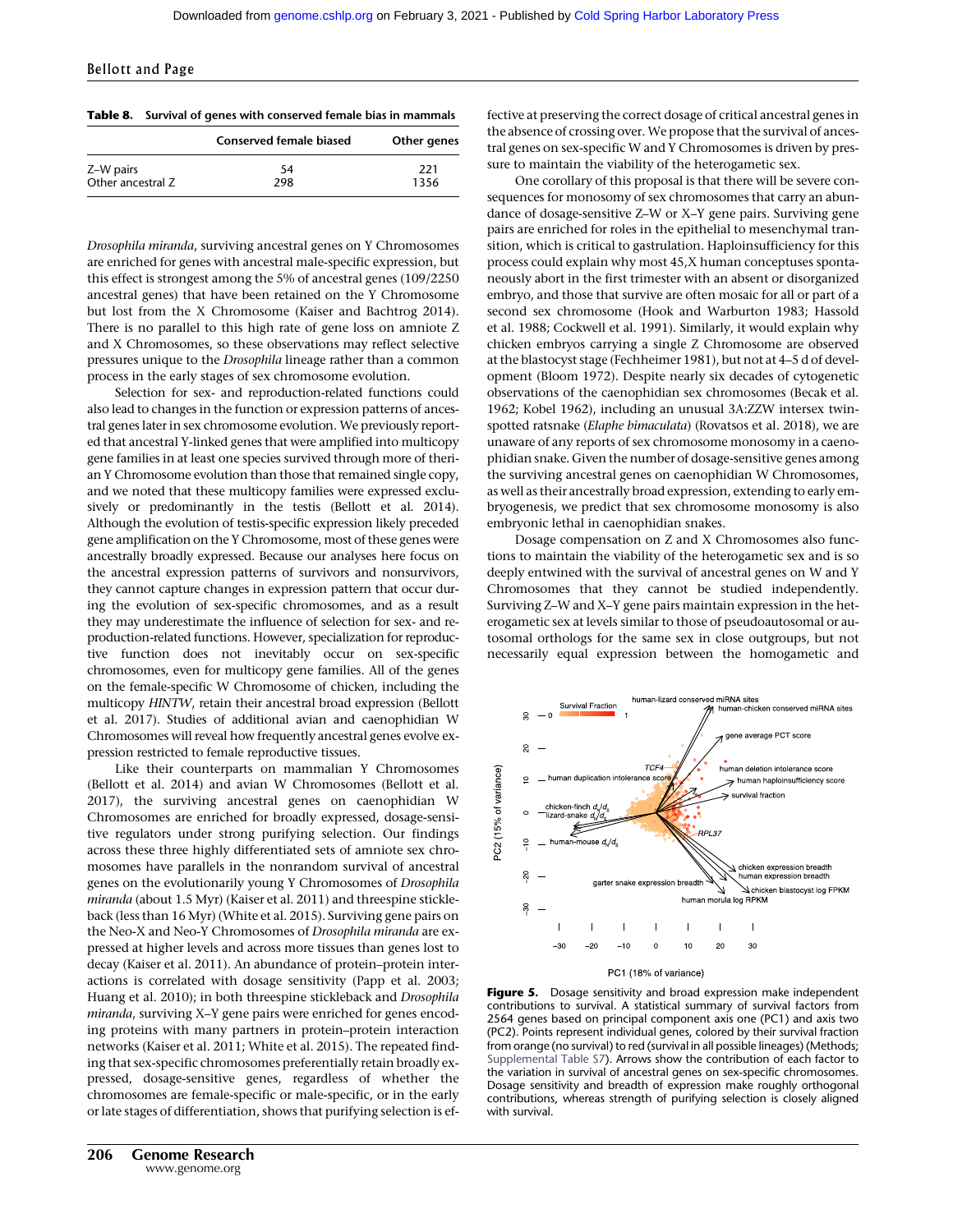Table 8. Survival of genes with conserved female bias in mammals

|                   | Conserved female biased | Other genes |
|-------------------|-------------------------|-------------|
| Z-W pairs         | 54                      | 221         |
| Other ancestral Z | 298                     | 1356        |

Drosophila miranda, surviving ancestral genes on Y Chromosomes are enriched for genes with ancestral male-specific expression, but this effect is strongest among the 5% of ancestral genes (109/2250 ancestral genes) that have been retained on the Y Chromosome but lost from the X Chromosome (Kaiser and Bachtrog 2014). There is no parallel to this high rate of gene loss on amniote Z and X Chromosomes, so these observations may reflect selective pressures unique to the Drosophila lineage rather than a common process in the early stages of sex chromosome evolution.

Selection for sex- and reproduction-related functions could also lead to changes in the function or expression patterns of ancestral genes later in sex chromosome evolution. We previously reported that ancestral Y-linked genes that were amplified into multicopy gene families in at least one species survived through more of therian Y Chromosome evolution than those that remained single copy, and we noted that these multicopy families were expressed exclusively or predominantly in the testis (Bellott et al. 2014). Although the evolution of testis-specific expression likely preceded gene amplification on the Y Chromosome, most of these genes were ancestrally broadly expressed. Because our analyses here focus on the ancestral expression patterns of survivors and nonsurvivors, they cannot capture changes in expression pattern that occur during the evolution of sex-specific chromosomes, and as a result they may underestimate the influence of selection for sex- and reproduction-related functions. However, specialization for reproductive function does not inevitably occur on sex-specific chromosomes, even for multicopy gene families. All of the genes on the female-specific W Chromosome of chicken, including the multicopy HINTW, retain their ancestral broad expression (Bellott et al. 2017). Studies of additional avian and caenophidian W Chromosomes will reveal how frequently ancestral genes evolve expression restricted to female reproductive tissues.

Like their counterparts on mammalian Y Chromosomes (Bellott et al. 2014) and avian W Chromosomes (Bellott et al. 2017), the surviving ancestral genes on caenophidian W Chromosomes are enriched for broadly expressed, dosage-sensitive regulators under strong purifying selection. Our findings across these three highly differentiated sets of amniote sex chromosomes have parallels in the nonrandom survival of ancestral genes on the evolutionarily young Y Chromosomes of Drosophila miranda (about 1.5 Myr) (Kaiser et al. 2011) and threespine stickleback (less than 16 Myr) (White et al. 2015). Surviving gene pairs on the Neo-X and Neo-Y Chromosomes of Drosophila miranda are expressed at higher levels and across more tissues than genes lost to decay (Kaiser et al. 2011). An abundance of protein–protein interactions is correlated with dosage sensitivity (Papp et al. 2003; Huang et al. 2010); in both threespine stickleback and Drosophila miranda, surviving X–Y gene pairs were enriched for genes encoding proteins with many partners in protein–protein interaction networks (Kaiser et al. 2011; White et al. 2015). The repeated finding that sex-specific chromosomes preferentially retain broadly expressed, dosage-sensitive genes, regardless of whether the chromosomes are female-specific or male-specific, or in the early or late stages of differentiation, shows that purifying selection is effective at preserving the correct dosage of critical ancestral genes in the absence of crossing over. We propose that the survival of ancestral genes on sex-specific W and Y Chromosomes is driven by pressure to maintain the viability of the heterogametic sex.

One corollary of this proposal is that there will be severe consequences for monosomy of sex chromosomes that carry an abundance of dosage-sensitive Z–W or X–Y gene pairs. Surviving gene pairs are enriched for roles in the epithelial to mesenchymal transition, which is critical to gastrulation. Haploinsufficiency for this process could explain why most 45,X human conceptuses spontaneously abort in the first trimester with an absent or disorganized embryo, and those that survive are often mosaic for all or part of a second sex chromosome (Hook and Warburton 1983; Hassold et al. 1988; Cockwell et al. 1991). Similarly, it would explain why chicken embryos carrying a single Z Chromosome are observed at the blastocyst stage (Fechheimer 1981), but not at 4–5 d of development (Bloom 1972). Despite nearly six decades of cytogenetic observations of the caenophidian sex chromosomes (Becak et al. 1962; Kobel 1962), including an unusual 3A:ZZW intersex twinspotted ratsnake (Elaphe bimaculata) (Rovatsos et al. 2018), we are unaware of any reports of sex chromosome monosomy in a caenophidian snake. Given the number of dosage-sensitive genes among the surviving ancestral genes on caenophidian W Chromosomes, as well as their ancestrally broad expression, extending to early embryogenesis, we predict that sex chromosome monosomy is also embryonic lethal in caenophidian snakes.

Dosage compensation on Z and X Chromosomes also functions to maintain the viability of the heterogametic sex and is so deeply entwined with the survival of ancestral genes on W and Y Chromosomes that they cannot be studied independently. Surviving Z–W and X–Y gene pairs maintain expression in the heterogametic sex at levels similar to those of pseudoautosomal or autosomal orthologs for the same sex in close outgroups, but not necessarily equal expression between the homogametic and



Figure 5. Dosage sensitivity and broad expression make independent contributions to survival. A statistical summary of survival factors from 2564 genes based on principal component axis one (PC1) and axis two (PC2). Points represent individual genes, colored by their survival fraction from orange (no survival) to red (survival in all possible lineages) (Methods; [Supplemental Table S7\)](http://genome.cshlp.org/lookup/suppl/doi:10.1101/gr.268516.120/-/DC1). Arrows show the contribution of each factor to the variation in survival of ancestral genes on sex-specific chromosomes. Dosage sensitivity and breadth of expression make roughly orthogonal contributions, whereas strength of purifying selection is closely aligned with survival.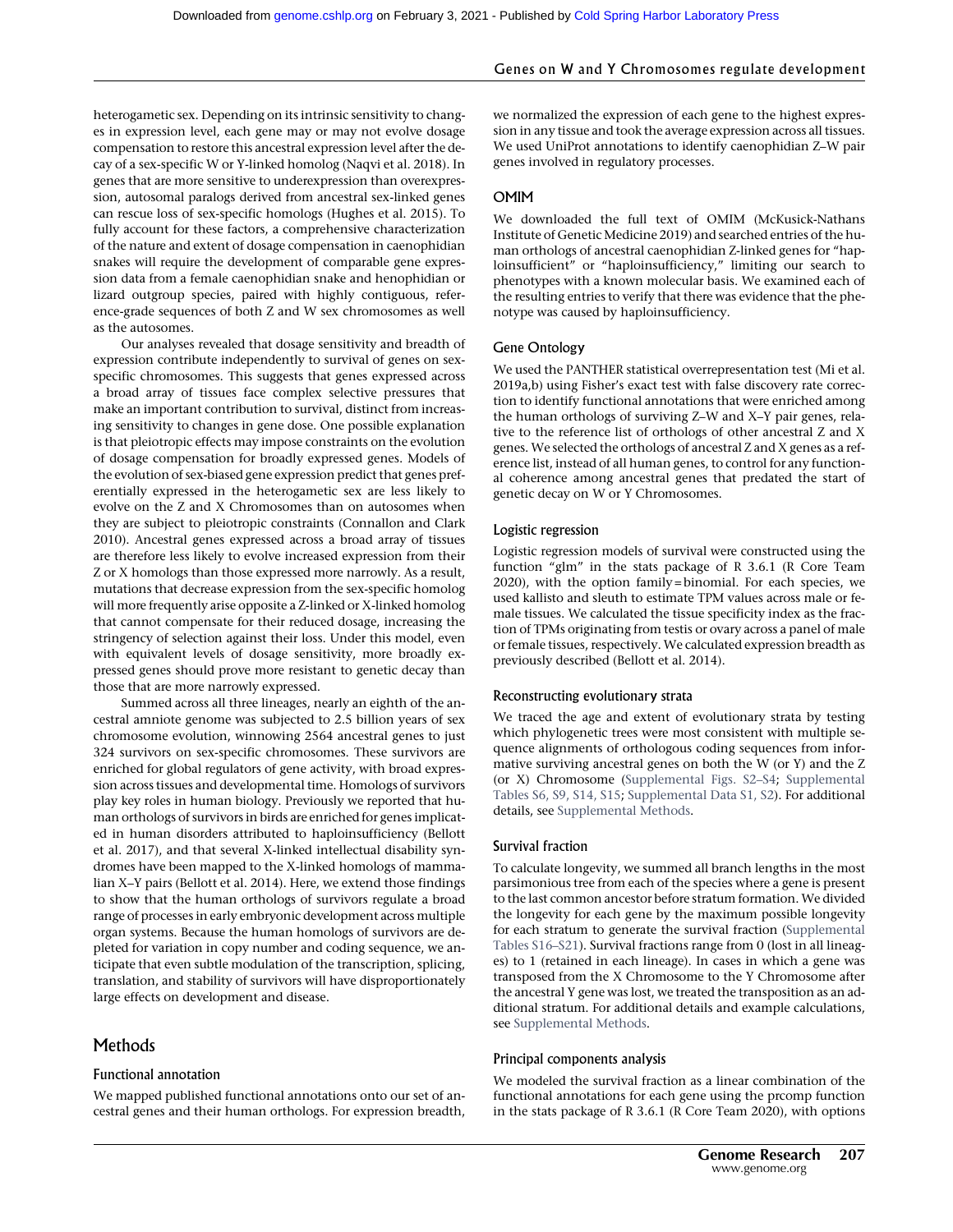heterogametic sex. Depending on its intrinsic sensitivity to changes in expression level, each gene may or may not evolve dosage compensation to restore this ancestral expression level after the decay of a sex-specific W or Y-linked homolog (Naqvi et al. 2018). In genes that are more sensitive to underexpression than overexpression, autosomal paralogs derived from ancestral sex-linked genes can rescue loss of sex-specific homologs (Hughes et al. 2015). To fully account for these factors, a comprehensive characterization of the nature and extent of dosage compensation in caenophidian snakes will require the development of comparable gene expression data from a female caenophidian snake and henophidian or lizard outgroup species, paired with highly contiguous, reference-grade sequences of both Z and W sex chromosomes as well as the autosomes.

Our analyses revealed that dosage sensitivity and breadth of expression contribute independently to survival of genes on sexspecific chromosomes. This suggests that genes expressed across a broad array of tissues face complex selective pressures that make an important contribution to survival, distinct from increasing sensitivity to changes in gene dose. One possible explanation is that pleiotropic effects may impose constraints on the evolution of dosage compensation for broadly expressed genes. Models of the evolution of sex-biased gene expression predict that genes preferentially expressed in the heterogametic sex are less likely to evolve on the Z and X Chromosomes than on autosomes when they are subject to pleiotropic constraints (Connallon and Clark 2010). Ancestral genes expressed across a broad array of tissues are therefore less likely to evolve increased expression from their Z or X homologs than those expressed more narrowly. As a result, mutations that decrease expression from the sex-specific homolog will more frequently arise opposite a Z-linked or X-linked homolog that cannot compensate for their reduced dosage, increasing the stringency of selection against their loss. Under this model, even with equivalent levels of dosage sensitivity, more broadly expressed genes should prove more resistant to genetic decay than those that are more narrowly expressed.

Summed across all three lineages, nearly an eighth of the ancestral amniote genome was subjected to 2.5 billion years of sex chromosome evolution, winnowing 2564 ancestral genes to just 324 survivors on sex-specific chromosomes. These survivors are enriched for global regulators of gene activity, with broad expression across tissues and developmental time. Homologs of survivors play key roles in human biology. Previously we reported that human orthologs of survivors in birds are enriched for genes implicated in human disorders attributed to haploinsufficiency (Bellott et al. 2017), and that several X-linked intellectual disability syndromes have been mapped to the X-linked homologs of mammalian X–Y pairs (Bellott et al. 2014). Here, we extend those findings to show that the human orthologs of survivors regulate a broad range of processes in early embryonic development across multiple organ systems. Because the human homologs of survivors are depleted for variation in copy number and coding sequence, we anticipate that even subtle modulation of the transcription, splicing, translation, and stability of survivors will have disproportionately large effects on development and disease.

# Methods

# Functional annotation

We mapped published functional annotations onto our set of ancestral genes and their human orthologs. For expression breadth, we normalized the expression of each gene to the highest expression in any tissue and took the average expression across all tissues. We used UniProt annotations to identify caenophidian Z–W pair genes involved in regulatory processes.

#### OMIM

We downloaded the full text of OMIM (McKusick-Nathans Institute of Genetic Medicine 2019) and searched entries of the human orthologs of ancestral caenophidian Z-linked genes for "haploinsufficient" or "haploinsufficiency," limiting our search to phenotypes with a known molecular basis. We examined each of the resulting entries to verify that there was evidence that the phenotype was caused by haploinsufficiency.

#### Gene Ontology

We used the PANTHER statistical overrepresentation test (Mi et al. 2019a,b) using Fisher's exact test with false discovery rate correction to identify functional annotations that were enriched among the human orthologs of surviving Z–W and X–Y pair genes, relative to the reference list of orthologs of other ancestral Z and X genes. We selected the orthologs of ancestral Z and X genes as a reference list, instead of all human genes, to control for any functional coherence among ancestral genes that predated the start of genetic decay on W or Y Chromosomes.

#### Logistic regression

Logistic regression models of survival were constructed using the function "glm" in the stats package of R 3.6.1 (R Core Team 2020), with the option family = binomial. For each species, we used kallisto and sleuth to estimate TPM values across male or female tissues. We calculated the tissue specificity index as the fraction of TPMs originating from testis or ovary across a panel of male or female tissues, respectively. We calculated expression breadth as previously described (Bellott et al. 2014).

#### Reconstructing evolutionary strata

We traced the age and extent of evolutionary strata by testing which phylogenetic trees were most consistent with multiple sequence alignments of orthologous coding sequences from informative surviving ancestral genes on both the W (or Y) and the Z (or X) Chromosome [\(Supplemental Figs. S2](http://genome.cshlp.org/lookup/suppl/doi:10.1101/gr.268516.120/-/DC1)–S4; [Supplemental](http://genome.cshlp.org/lookup/suppl/doi:10.1101/gr.268516.120/-/DC1) [Tables S6, S9, S14, S15](http://genome.cshlp.org/lookup/suppl/doi:10.1101/gr.268516.120/-/DC1); [Supplemental Data S1, S2](http://genome.cshlp.org/lookup/suppl/doi:10.1101/gr.268516.120/-/DC1)). For additional details, see [Supplemental Methods.](http://genome.cshlp.org/lookup/suppl/doi:10.1101/gr.268516.120/-/DC1)

#### Survival fraction

To calculate longevity, we summed all branch lengths in the most parsimonious tree from each of the species where a gene is present to the last common ancestor before stratum formation. We divided the longevity for each gene by the maximum possible longevity for each stratum to generate the survival fraction [\(Supplemental](http://genome.cshlp.org/lookup/suppl/doi:10.1101/gr.268516.120/-/DC1) [Tables S16](http://genome.cshlp.org/lookup/suppl/doi:10.1101/gr.268516.120/-/DC1)–S21). Survival fractions range from 0 (lost in all lineages) to 1 (retained in each lineage). In cases in which a gene was transposed from the X Chromosome to the Y Chromosome after the ancestral Y gene was lost, we treated the transposition as an additional stratum. For additional details and example calculations, see [Supplemental Methods.](http://genome.cshlp.org/lookup/suppl/doi:10.1101/gr.268516.120/-/DC1)

#### Principal components analysis

We modeled the survival fraction as a linear combination of the functional annotations for each gene using the prcomp function in the stats package of R 3.6.1 (R Core Team 2020), with options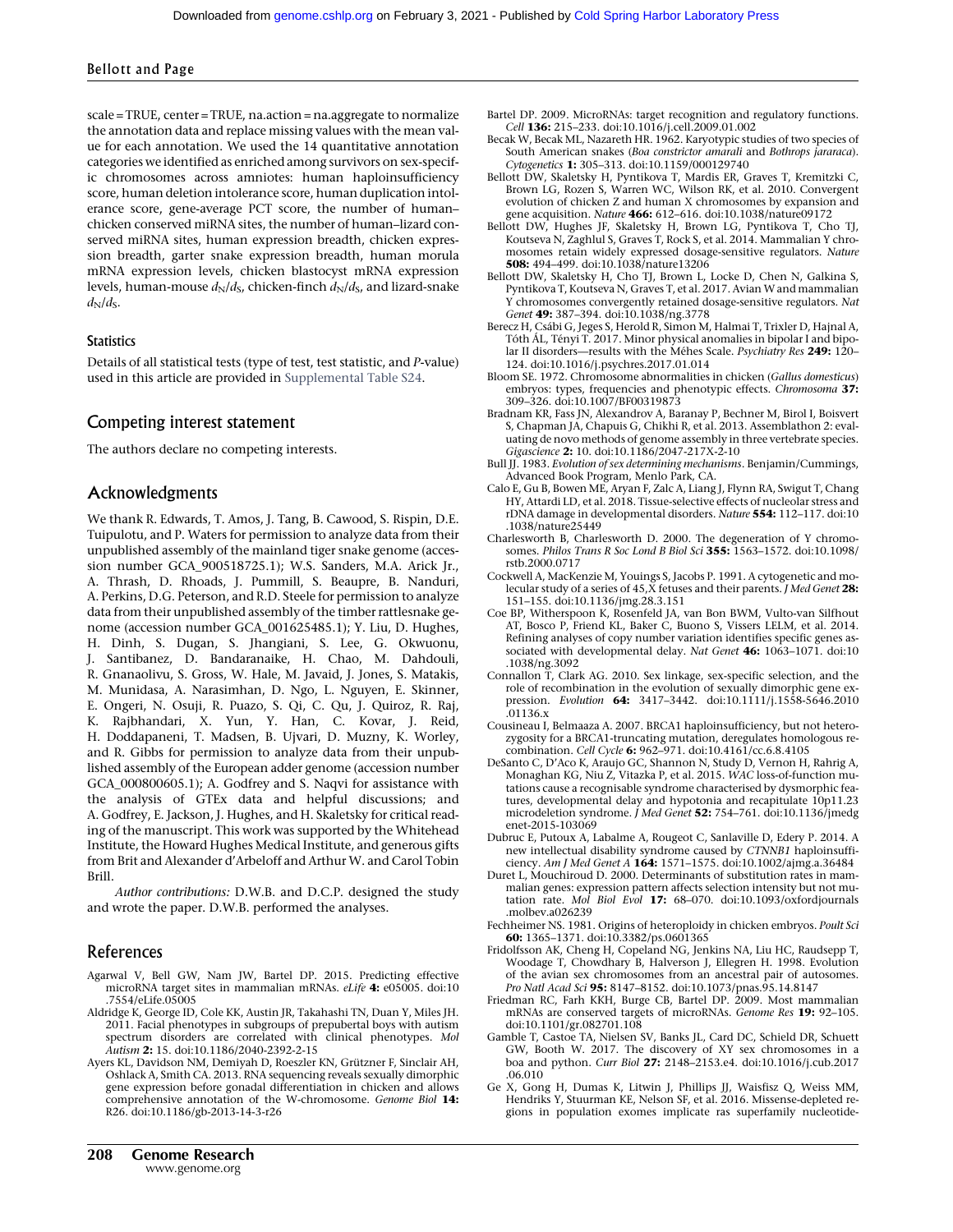scale = TRUE, center = TRUE, na.action = na.aggregate to normalize the annotation data and replace missing values with the mean value for each annotation. We used the 14 quantitative annotation categories we identified as enriched among survivors on sex-specific chromosomes across amniotes: human haploinsufficiency score, human deletion intolerance score, human duplication intolerance score, gene-average PCT score, the number of human– chicken conserved miRNA sites, the number of human–lizard conserved miRNA sites, human expression breadth, chicken expression breadth, garter snake expression breadth, human morula mRNA expression levels, chicken blastocyst mRNA expression levels, human-mouse  $d_N/d_S$ , chicken-finch  $d_N/d_S$ , and lizard-snake  $d_N/d_S$ .

# **Statistics**

Details of all statistical tests (type of test, test statistic, and P-value) used in this article are provided in [Supplemental Table S24](http://genome.cshlp.org/lookup/suppl/doi:10.1101/gr.268516.120/-/DC1).

#### Competing interest statement

The authors declare no competing interests.

#### Acknowledgments

We thank R. Edwards, T. Amos, J. Tang, B. Cawood, S. Rispin, D.E. Tuipulotu, and P. Waters for permission to analyze data from their unpublished assembly of the mainland tiger snake genome (accession number GCA\_900518725.1); W.S. Sanders, M.A. Arick Jr., A. Thrash, D. Rhoads, J. Pummill, S. Beaupre, B. Nanduri, A. Perkins, D.G. Peterson, and R.D. Steele for permission to analyze data from their unpublished assembly of the timber rattlesnake genome (accession number GCA\_001625485.1); Y. Liu, D. Hughes, H. Dinh, S. Dugan, S. Jhangiani, S. Lee, G. Okwuonu, J. Santibanez, D. Bandaranaike, H. Chao, M. Dahdouli, R. Gnanaolivu, S. Gross, W. Hale, M. Javaid, J. Jones, S. Matakis, M. Munidasa, A. Narasimhan, D. Ngo, L. Nguyen, E. Skinner, E. Ongeri, N. Osuji, R. Puazo, S. Qi, C. Qu, J. Quiroz, R. Raj, K. Rajbhandari, X. Yun, Y. Han, C. Kovar, J. Reid, H. Doddapaneni, T. Madsen, B. Ujvari, D. Muzny, K. Worley, and R. Gibbs for permission to analyze data from their unpublished assembly of the European adder genome (accession number GCA\_000800605.1); A. Godfrey and S. Naqvi for assistance with the analysis of GTEx data and helpful discussions; and A. Godfrey, E. Jackson, J. Hughes, and H. Skaletsky for critical reading of the manuscript. This work was supported by the Whitehead Institute, the Howard Hughes Medical Institute, and generous gifts from Brit and Alexander d'Arbeloff and Arthur W. and Carol Tobin Brill.

Author contributions: D.W.B. and D.C.P. designed the study and wrote the paper. D.W.B. performed the analyses.

# References

- Agarwal V, Bell GW, Nam JW, Bartel DP. 2015. Predicting effective microRNA target sites in mammalian mRNAs. eLife 4: e05005. doi:10 .7554/eLife.05005
- Aldridge K, George ID, Cole KK, Austin JR, Takahashi TN, Duan Y, Miles JH. 2011. Facial phenotypes in subgroups of prepubertal boys with autism spectrum disorders are correlated with clinical phenotypes. Mol Autism 2: 15. doi:10.1186/2040-2392-2-15
- Ayers KL, Davidson NM, Demiyah D, Roeszler KN, Grützner F, Sinclair AH, Oshlack A, Smith CA. 2013. RNA sequencing reveals sexually dimorphic gene expression before gonadal differentiation in chicken and allows comprehensive annotation of the W-chromosome. Genome Biol 14: R26. doi:10.1186/gb-2013-14-3-r26
- Bartel DP. 2009. MicroRNAs: target recognition and regulatory functions. Cell 136: 215–233. doi:10.1016/j.cell.2009.01.002
- Becak W, Becak ML, Nazareth HR. 1962. Karyotypic studies of two species of South American snakes (Boa constrictor amarali and Bothrops jararaca). Cytogenetics 1: 305–313. doi:10.1159/000129740
- Bellott DW, Skaletsky H, Pyntikova T, Mardis ER, Graves T, Kremitzki C, Brown LG, Rozen S, Warren WC, Wilson RK, et al. 2010. Convergent evolution of chicken Z and human X chromosomes by expansion and gene acquisition. Nature 466: 612–616. doi:10.1038/nature09172
- Bellott DW, Hughes JF, Skaletsky H, Brown LG, Pyntikova T, Cho TJ, Koutseva N, Zaghlul S, Graves T, Rock S, et al. 2014. Mammalian Y chromosomes retain widely expressed dosage-sensitive regulators. Nature 508: 494–499. doi:10.1038/nature13206
- Bellott DW, Skaletsky H, Cho TJ, Brown L, Locke D, Chen N, Galkina S, Pyntikova T, Koutseva N, Graves T, et al. 2017. Avian W and mammalian Y chromosomes convergently retained dosage-sensitive regulators. Nat Genet 49: 387-394. doi:10.1038/ng.3778
- Berecz H, Csábi G, Jeges S, Herold R, Simon M, Halmai T, Trixler D, Hajnal A, Tóth ÁL, Tényi T. 2017. Minor physical anomalies in bipolar I and bipolar II disorders—results with the Méhes Scale. Psychiatry Res 249: 120-124. doi:10.1016/j.psychres.2017.01.014
- Bloom SE. 1972. Chromosome abnormalities in chicken (Gallus domesticus) embryos: types, frequencies and phenotypic effects. Chromosoma 37: 309–326. doi:10.1007/BF00319873
- Bradnam KR, Fass JN, Alexandrov A, Baranay P, Bechner M, Birol I, Boisvert S, Chapman JA, Chapuis G, Chikhi R, et al. 2013. Assemblathon 2: evaluating de novo methods of genome assembly in three vertebrate species. Gigascience 2: 10. doi:10.1186/2047-217X-2-10
- Bull JJ. 1983. Evolution of sex determining mechanisms. Benjamin/Cummings, Advanced Book Program, Menlo Park, CA.
- Calo E, Gu B, Bowen ME, Aryan F, Zalc A, Liang J, Flynn RA, Swigut T, Chang HY, Attardi LD, et al. 2018. Tissue-selective effects of nucleolar stress and rDNA damage in developmental disorders. Nature 554: 112–117. doi:10 .1038/nature25449
- Charlesworth B, Charlesworth D. 2000. The degeneration of Y chromosomes. Philos Trans R Soc Lond B Biol Sci 355: 1563–1572. doi:10.1098/ rstb.2000.0717
- Cockwell A, MacKenzie M, Youings S, Jacobs P. 1991. A cytogenetic and molecular study of a series of 45, X fetuses and their parents. *J Med Genet* 28: 151–155. doi:10.1136/jmg.28.3.151
- Coe BP, Witherspoon K, Rosenfeld JA, van Bon BWM, Vulto-van Silfhout AT, Bosco P, Friend KL, Baker C, Buono S, Vissers LELM, et al. 2014. Refining analyses of copy number variation identifies specific genes associated with developmental delay. Nat Genet 46: 1063–1071. doi:10 .1038/ng.3092
- Connallon T, Clark AG. 2010. Sex linkage, sex-specific selection, and the role of recombination in the evolution of sexually dimorphic gene expression. Evolution **64:** 3417-3442. doi:10.1111/j.1558-5646.2010 .01136.x
- Cousineau I, Belmaaza A. 2007. BRCA1 haploinsufficiency, but not heterozygosity for a BRCA1-truncating mutation, deregulates homologous recombination. Cell Cycle 6: 962–971. doi:10.4161/cc.6.8.4105
- DeSanto C, D'Aco K, Araujo GC, Shannon N, Study D, Vernon H, Rahrig A, Monaghan KG, Niu Z, Vitazka P, et al. 2015. WAC loss-of-function mutations cause a recognisable syndrome characterised by dysmorphic features, developmental delay and hypotonia and recapitulate 10p11.23 microdeletion syndrome. *J Med Genet* 52: 754-761. doi:10.1136/jmedg enet-2015-103069
- Dubruc E, Putoux A, Labalme A, Rougeot C, Sanlaville D, Edery P. 2014. A new intellectual disability syndrome caused by CTNNB1 haploinsufficiency. Am J Med Genet A 164: 1571–1575. doi:10.1002/ajmg.a.36484
- Duret L, Mouchiroud D. 2000. Determinants of substitution rates in mammalian genes: expression pattern affects selection intensity but not mutation rate. Mol Biol Evol 17: 68-070. doi:10.1093/oxfordjournals .molbev.a026239
- Fechheimer NS. 1981. Origins of heteroploidy in chicken embryos. Poult Sci 60: 1365–1371. doi:10.3382/ps.0601365
- Fridolfsson AK, Cheng H, Copeland NG, Jenkins NA, Liu HC, Raudsepp T, Woodage T, Chowdhary B, Halverson J, Ellegren H. 1998. Evolution of the avian sex chromosomes from an ancestral pair of autosomes.
- Pro Natl Acad Sci 95: 8147–8152. doi:10.1073/pnas.95.14.8147 Friedman RC, Farh KKH, Burge CB, Bartel DP. 2009. Most mammalian mRNAs are conserved targets of microRNAs. Genome Res 19: 92–105. doi:10.1101/gr.082701.108
- Gamble T, Castoe TA, Nielsen SV, Banks JL, Card DC, Schield DR, Schuett GW, Booth W. 2017. The discovery of XY sex chromosomes in a boa and python. Curr Biol 27: 2148–2153.e4. doi:10.1016/j.cub.2017 .06.010
- Ge X, Gong H, Dumas K, Litwin J, Phillips JJ, Waisfisz Q, Weiss MM, Hendriks Y, Stuurman KE, Nelson SF, et al. 2016. Missense-depleted regions in population exomes implicate ras superfamily nucleotide-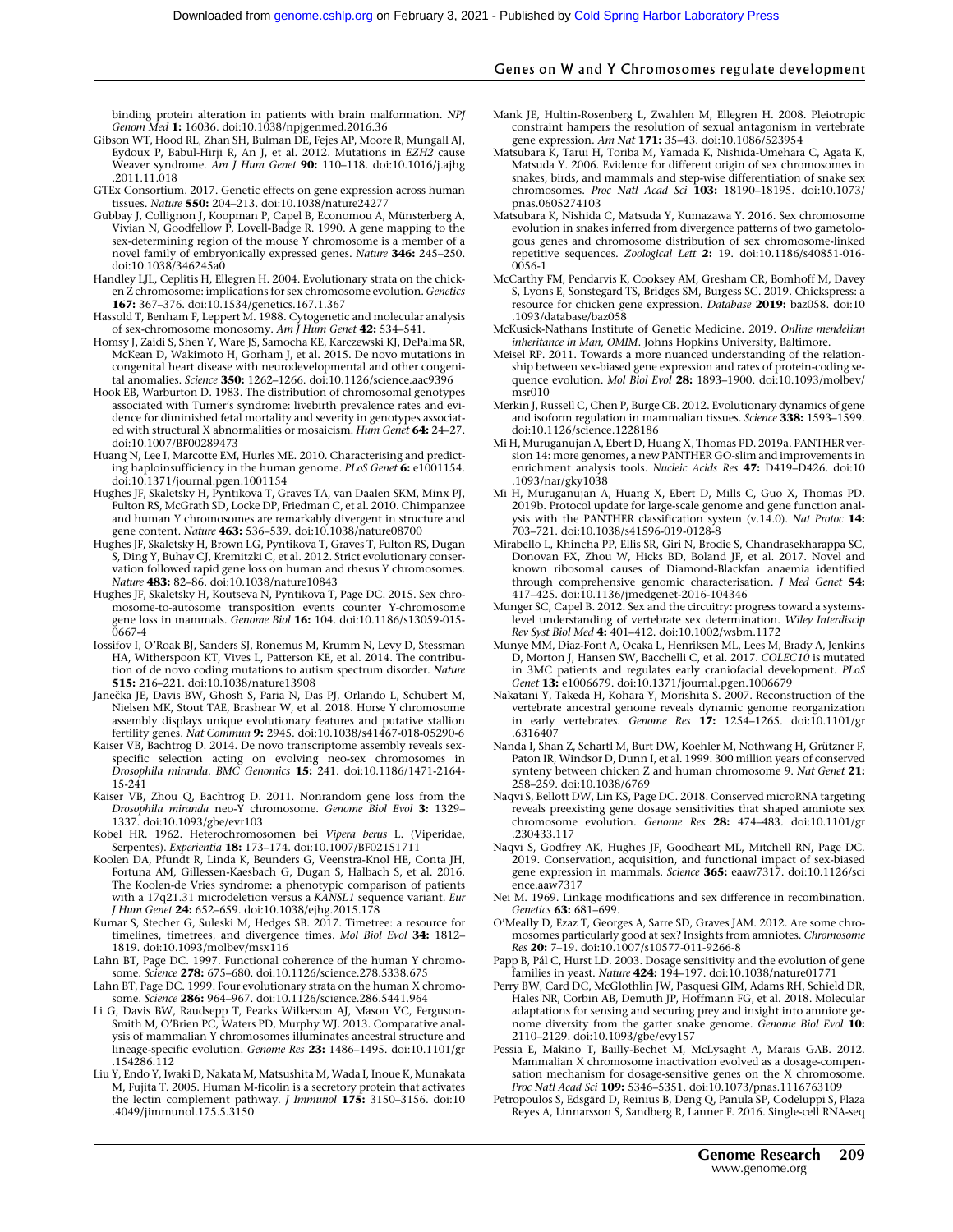# Genes on W and Y Chromosomes regulate development

binding protein alteration in patients with brain malformation. NPJ Genom Med 1: 16036. doi:10.1038/npjgenmed.2016.36

- Gibson WT, Hood RL, Zhan SH, Bulman DE, Fejes AP, Moore R, Mungall AJ, Eydoux P, Babul-Hirji R, An J, et al. 2012. Mutations in EZH2 cause Weaver syndrome. Am J Hum Genet **90:** 110-118. doi:10.1016/j.ajhg .2011.11.018
- GTEx Consortium. 2017. Genetic effects on gene expression across human tissues. Nature 550: 204–213. doi:10.1038/nature24277
- Gubbay J, Collignon J, Koopman P, Capel B, Economou A, Münsterberg A, Vivian N, Goodfellow P, Lovell-Badge R. 1990. A gene mapping to the sex-determining region of the mouse Y chromosome is a member of a novel family of embryonically expressed genes. Nature 346: 245–250. doi:10.1038/346245a0
- Handley LJL, Ceplitis H, Ellegren H. 2004. Evolutionary strata on the chicken Z chromosome: implications for sex chromosome evolution. Genetics 167: 367–376. doi:10.1534/genetics.167.1.367
- Hassold T, Benham F, Leppert M. 1988. Cytogenetic and molecular analysis of sex-chromosome monosomy. Am J Hum Genet 42: 534-541.
- Homsy J, Zaidi S, Shen Y, Ware JS, Samocha KE, Karczewski KJ, DePalma SR, McKean D, Wakimoto H, Gorham J, et al. 2015. De novo mutations in congenital heart disease with neurodevelopmental and other congenital anomalies. Science 350: 1262–1266. doi:10.1126/science.aac9396
- Hook EB, Warburton D. 1983. The distribution of chromosomal genotypes associated with Turner's syndrome: livebirth prevalence rates and evidence for diminished fetal mortality and severity in genotypes associated with structural X abnormalities or mosaicism. Hum Genet 64: 24–27. doi:10.1007/BF00289473
- Huang N, Lee I, Marcotte EM, Hurles ME. 2010. Characterising and predicting haploinsufficiency in the human genome. PLoS Genet 6: e1001154. doi:10.1371/journal.pgen.1001154
- Hughes JF, Skaletsky H, Pyntikova T, Graves TA, van Daalen SKM, Minx PJ, Fulton RS, McGrath SD, Locke DP, Friedman C, et al. 2010. Chimpanzee and human Y chromosomes are remarkably divergent in structure and gene content. Nature 463: 536–539. doi:10.1038/nature08700
- Hughes JF, Skaletsky H, Brown LG, Pyntikova T, Graves T, Fulton RS, Dugan S, Ding Y, Buhay CJ, Kremitzki C, et al. 2012. Strict evolutionary conservation followed rapid gene loss on human and rhesus Y chromosomes. Nature 483: 82-86. doi:10.1038/nature10843
- Hughes JF, Skaletsky H, Koutseva N, Pyntikova T, Page DC. 2015. Sex chromosome-to-autosome transposition events counter Y-chromosome gene loss in mammals. Genome Biol 16: 104. doi:10.1186/s13059-015-0667-4
- Iossifov I, O'Roak BJ, Sanders SJ, Ronemus M, Krumm N, Levy D, Stessman HA, Witherspoon KT, Vives L, Patterson KE, et al. 2014. The contribution of de novo coding mutations to autism spectrum disorder. Nature 515: 216–221. doi:10.1038/nature13908
- Janečka JE, Davis BW, Ghosh S, Paria N, Das PJ, Orlando L, Schubert M, Nielsen MK, Stout TAE, Brashear W, et al. 2018. Horse Y chromosome assembly displays unique evolutionary features and putative stallion fertility genes. Nat Commun 9: 2945. doi:10.1038/s41467-018-05290-6
- Kaiser VB, Bachtrog D. 2014. De novo transcriptome assembly reveals sexspecific selection acting on evolving neo-sex chromosomes in<br>*Drosophila miranda. BMC Genomics* **15:** 241. doi:10.1186/1471-2164-15-241
- Kaiser VB, Zhou Q, Bachtrog D. 2011. Nonrandom gene loss from the Drosophila miranda neo-Y chromosome. Genome Biol Evol 3: 1329– 1337. doi:10.1093/gbe/evr103
- Kobel HR. 1962. Heterochromosomen bei Vipera berus L. (Viperidae, Serpentes). Experientia 18: 173-174. doi:10.1007/BF02151711
- Koolen DA, Pfundt R, Linda K, Beunders G, Veenstra-Knol HE, Conta JH, Fortuna AM, Gillessen-Kaesbach G, Dugan S, Halbach S, et al. 2016. The Koolen-de Vries syndrome: a phenotypic comparison of patients with a 17q21.31 microdeletion versus a KANSL1 sequence variant. Eur J Hum Genet 24: 652–659. doi:10.1038/ejhg.2015.178
- Kumar S, Stecher G, Suleski M, Hedges SB. 2017. Timetree: a resource for timelines, timetrees, and divergence times. Mol Biol Evol 34: 1812-1819. doi:10.1093/molbev/msx116

Lahn BT, Page DC. 1997. Functional coherence of the human Y chromosome. Science 278: 675–680. doi:10.1126/science.278.5338.675

- Lahn BT, Page DC. 1999. Four evolutionary strata on the human X chromosome. Science 286: 964–967. doi:10.1126/science.286.5441.964
- Li G, Davis BW, Raudsepp T, Pearks Wilkerson AJ, Mason VC, Ferguson-Smith M, O'Brien PC, Waters PD, Murphy WJ. 2013. Comparative analysis of mammalian Y chromosomes illuminates ancestral structure and lineage-specific evolution. Genome Res 23: 1486–1495. doi:10.1101/gr .154286.112
- Liu Y, Endo Y, Iwaki D, Nakata M, Matsushita M, Wada I, Inoue K, Munakata M, Fujita T. 2005. Human M-ficolin is a secretory protein that activates the lectin complement pathway. J Immunol 175: 3150-3156. doi:10 .4049/jimmunol.175.5.3150
- Mank JE, Hultin-Rosenberg L, Zwahlen M, Ellegren H. 2008. Pleiotropic constraint hampers the resolution of sexual antagonism in vertebrate gene expression. Am Nat 171: 35–43. doi:10.1086/523954
- Matsubara K, Tarui H, Toriba M, Yamada K, Nishida-Umehara C, Agata K, Matsuda Y. 2006. Evidence for different origin of sex chromosomes in snakes, birds, and mammals and step-wise differentiation of snake sex chromosomes. Proc Natl Acad Sci 103: 18190–18195. doi:10.1073/ pnas.0605274103
- Matsubara K, Nishida C, Matsuda Y, Kumazawa Y. 2016. Sex chromosome evolution in snakes inferred from divergence patterns of two gametologous genes and chromosome distribution of sex chromosome-linked repetitive sequences. Zoological Lett 2: 19. doi:10.1186/s40851-016- 0056-1
- McCarthy FM, Pendarvis K, Cooksey AM, Gresham CR, Bomhoff M, Davey S, Lyons E, Sonstegard TS, Bridges SM, Burgess SC. 2019. Chickspress: a resource for chicken gene expression. Database 2019: baz058. doi:10 .1093/database/baz058
- McKusick-Nathans Institute of Genetic Medicine. 2019. Online mendelian inheritance in Man, OMIM. Johns Hopkins University, Baltimore.
- Meisel RP. 2011. Towards a more nuanced understanding of the relationship between sex-biased gene expression and rates of protein-coding sequence evolution. *Mol Biol Evol* 28: 1893–1900. doi:10.1093/molbev/ msr010
- Merkin J, Russell C, Chen P, Burge CB. 2012. Evolutionary dynamics of gene and isoform regulation in mammalian tissues. Science 338: 1593-1599. doi:10.1126/science.1228186
- Mi H, Muruganujan A, Ebert D, Huang X, Thomas PD. 2019a. PANTHER version 14: more genomes, a new PANTHER GO-slim and improvements in enrichment analysis tools. Nucleic Acids Res 47: D419-D426. doi:10 .1093/nar/gky1038
- Mi H, Muruganujan A, Huang X, Ebert D, Mills C, Guo X, Thomas PD. 2019b. Protocol update for large-scale genome and gene function analysis with the PANTHER classification system (v.14.0). Nat Protoc 14: 703–721. doi:10.1038/s41596-019-0128-8
- Mirabello L, Khincha PP, Ellis SR, Giri N, Brodie S, Chandrasekharappa SC, Donovan FX, Zhou W, Hicks BD, Boland JF, et al. 2017. Novel and known ribosomal causes of Diamond-Blackfan anaemia identified through comprehensive genomic characterisation. J Med Genet 54: 417–425. doi:10.1136/jmedgenet-2016-104346
- Munger SC, Capel B. 2012. Sex and the circuitry: progress toward a systemslevel understanding of vertebrate sex determination. Wiley Interdiscip Rev Syst Biol Med 4: 401–412. doi:10.1002/wsbm.1172
- Munye MM, Diaz-Font A, Ocaka L, Henriksen ML, Lees M, Brady A, Jenkins D, Morton J, Hansen SW, Bacchelli C, et al. 2017. COLEC10 is mutated in 3MC patients and regulates early craniofacial development. PLoS Genet 13: e1006679. doi:10.1371/journal.pgen.1006679
- Nakatani Y, Takeda H, Kohara Y, Morishita S. 2007. Reconstruction of the vertebrate ancestral genome reveals dynamic genome reorganization in early vertebrates. Genome Res 17: 1254–1265. doi:10.1101/gr .6316407
- Nanda I, Shan Z, Schartl M, Burt DW, Koehler M, Nothwang H, Grützner F, Paton IR, Windsor D, Dunn I, et al. 1999. 300 million years of conserved synteny between chicken Z and human chromosome 9. Nat Genet 21: 258–259. doi:10.1038/6769
- Naqvi S, Bellott DW, Lin KS, Page DC. 2018. Conserved microRNA targeting reveals preexisting gene dosage sensitivities that shaped amniote sex chromosome evolution. Genome Res 28: 474–483. doi:10.1101/gr .230433.117
- Naqvi S, Godfrey AK, Hughes JF, Goodheart ML, Mitchell RN, Page DC. 2019. Conservation, acquisition, and functional impact of sex-biased gene expression in mammals. Science 365: eaaw7317. doi:10.1126/sci ence.aaw7317
- Nei M. 1969. Linkage modifications and sex difference in recombination. Genetics 63: 681–699.
- O'Meally D, Ezaz T, Georges A, Sarre SD, Graves JAM. 2012. Are some chromosomes particularly good at sex? Insights from amniotes. Chromosome Res 20: 7–19. doi:10.1007/s10577-011-9266-8
- Papp B, Pál C, Hurst LD. 2003. Dosage sensitivity and the evolution of gene families in yeast. Nature 424: 194–197. doi:10.1038/nature01771
- Perry BW, Card DC, McGlothlin JW, Pasquesi GIM, Adams RH, Schield DR, Hales NR, Corbin AB, Demuth JP, Hoffmann FG, et al. 2018. Molecular adaptations for sensing and securing prey and insight into amniote genome diversity from the garter snake genome. Genome Biol Evol 10: 2110–2129. doi:10.1093/gbe/evy157
- Pessia E, Makino T, Bailly-Bechet M, McLysaght A, Marais GAB. 2012. Mammalian X chromosome inactivation evolved as a dosage-compensation mechanism for dosage-sensitive genes on the X chromosome. Proc Natl Acad Sci 109: 5346-5351. doi:10.1073/pnas.1116763109
- Petropoulos S, Edsgärd D, Reinius B, Deng Q, Panula SP, Codeluppi S, Plaza Reyes A, Linnarsson S, Sandberg R, Lanner F. 2016. Single-cell RNA-seq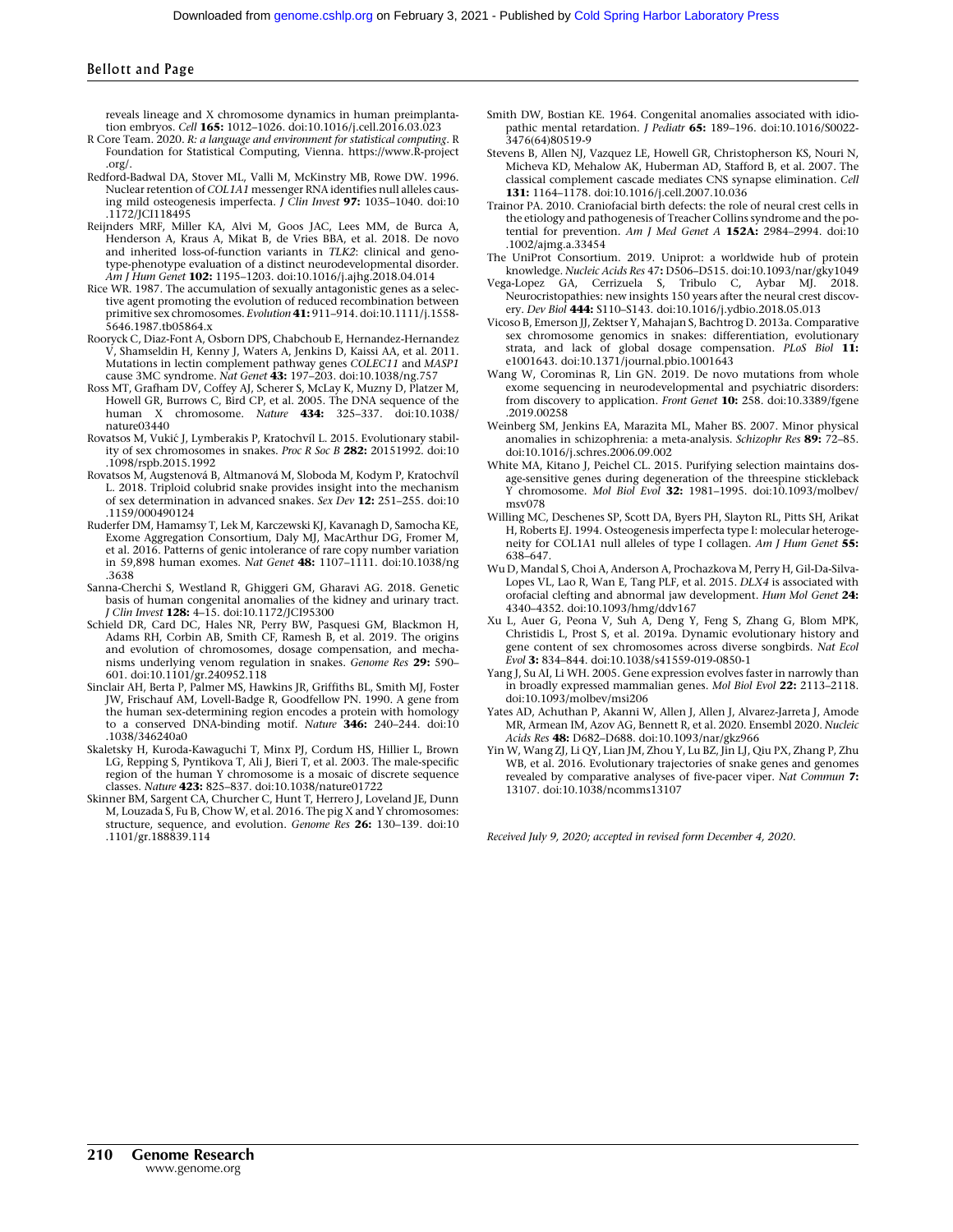reveals lineage and X chromosome dynamics in human preimplantation embryos. Cell 165: 1012–1026. doi:10.1016/j.cell.2016.03.023

- R Core Team. 2020. R: a language and environment for statistical computing. R Foundation for Statistical Computing, Vienna. [https://www.R-project](https://www.R-project.org/) [.org/](https://www.R-project.org/).
- Redford-Badwal DA, Stover ML, Valli M, McKinstry MB, Rowe DW. 1996. Nuclear retention of COL1A1 messenger RNA identifies null alleles caus-<br>ing mild osteogenesis imperfecta. *J Clin Invest* **97:** 1035–1040. doi:10 .1172/JCI118495
- Reijnders MRF, Miller KA, Alvi M, Goos JAC, Lees MM, de Burca A, Henderson A, Kraus A, Mikat B, de Vries BBA, et al. 2018. De novo and inherited loss-of-function variants in TLK2: clinical and genotype-phenotype evaluation of a distinct neurodevelopmental disorder. Am I Hum Genet **102:** 1195–1203. doi:10.1016/j.ajhg.2018.04.014
- Rice WR. 1987. The accumulation of sexually antagonistic genes as a selective agent promoting the evolution of reduced recombination between primitive sex chromosomes. Evolution 41: 911–914. doi:10.1111/j.1558- 5646.1987.tb05864.x
- Rooryck C, Diaz-Font A, Osborn DPS, Chabchoub E, Hernandez-Hernandez V, Shamseldin H, Kenny J, Waters A, Jenkins D, Kaissi AA, et al. 2011. Mutations in lectin complement pathway genes COLEC11 and MASP1 cause 3MC syndrome. Nat Genet 43: 197-203. doi:10.1038/ng.757
- Ross MT, Grafham DV, Coffey AJ, Scherer S, McLay K, Muzny D, Platzer M, Howell GR, Burrows C, Bird CP, et al. 2005. The DNA sequence of the human X chromosome. Nature 434: 325–337. doi:10.1038/ nature03440
- Rovatsos M, VukićJ, Lymberakis P, Kratochvíl L. 2015. Evolutionary stability of sex chromosomes in snakes. Proc R Soc B 282: 20151992. doi:10 .1098/rspb.2015.1992
- Rovatsos M, Augstenová B, Altmanová M, Sloboda M, Kodym P, Kratochvíl L. 2018. Triploid colubrid snake provides insight into the mechanism of sex determination in advanced snakes. Sex Dev 12: 251–255. doi:10 .1159/000490124
- Ruderfer DM, Hamamsy T, Lek M, Karczewski KJ, Kavanagh D, Samocha KE, Exome Aggregation Consortium, Daly MJ, MacArthur DG, Fromer M, et al. 2016. Patterns of genic intolerance of rare copy number variation in 59,898 human exomes. Nat Genet 48: 1107-1111. doi:10.1038/ng .3638
- Sanna-Cherchi S, Westland R, Ghiggeri GM, Gharavi AG. 2018. Genetic basis of human congenital anomalies of the kidney and urinary tract. J Clin Invest 128: 4–15. doi:10.1172/JCI95300
- Schield DR, Card DC, Hales NR, Perry BW, Pasquesi GM, Blackmon H, Adams RH, Corbin AB, Smith CF, Ramesh B, et al. 2019. The origins and evolution of chromosomes, dosage compensation, and mechanisms underlying venom regulation in snakes. Genome Res 29: 590–
- 601. doi:10.1101/gr.240952.118 Sinclair AH, Berta P, Palmer MS, Hawkins JR, Griffiths BL, Smith MJ, Foster JW, Frischauf AM, Lovell-Badge R, Goodfellow PN. 1990. A gene from the human sex-determining region encodes a protein with homology to a conserved DNA-binding motif. Nature 346: 240-244. doi:10 .1038/346240a0
- Skaletsky H, Kuroda-Kawaguchi T, Minx PJ, Cordum HS, Hillier L, Brown LG, Repping S, Pyntikova T, Ali J, Bieri T, et al. 2003. The male-specific region of the human Y chromosome is a mosaic of discrete sequence classes. Nature 423: 825–837. doi:10.1038/nature01722
- Skinner BM, Sargent CA, Churcher C, Hunt T, Herrero J, Loveland JE, Dunn M, Louzada S, Fu B, Chow W, et al. 2016. The pig X and Y chromosomes: structure, sequence, and evolution. Genome Res 26: 130-139. doi:10 .1101/gr.188839.114
- Smith DW, Bostian KE. 1964. Congenital anomalies associated with idiopathic mental retardation. J Pediatr 65: 189–196. doi:10.1016/S0022- 3476(64)80519-9
- Stevens B, Allen NJ, Vazquez LE, Howell GR, Christopherson KS, Nouri N, Micheva KD, Mehalow AK, Huberman AD, Stafford B, et al. 2007. The classical complement cascade mediates CNS synapse elimination. Cell 131: 1164–1178. doi:10.1016/j.cell.2007.10.036
- Trainor PA. 2010. Craniofacial birth defects: the role of neural crest cells in the etiology and pathogenesis of Treacher Collins syndrome and the potential for prevention. Am J Med Genet A 152A: 2984-2994. doi:10 .1002/ajmg.a.33454
- The UniProt Consortium. 2019. Uniprot: a worldwide hub of protein knowledge. Nucleic Acids Res 47: D506–D515. doi:10.1093/nar/gky1049
- Vega-Lopez GA, Cerrizuela S, Tribulo C, Aybar MJ. 2018. Neurocristopathies: new insights 150 years after the neural crest discovery. Dev Biol 444: S110–S143. doi:10.1016/j.ydbio.2018.05.013
- Vicoso B, Emerson JJ, Zektser Y, Mahajan S, Bachtrog D. 2013a. Comparative sex chromosome genomics in snakes: differentiation, evolutionary strata, and lack of global dosage compensation. PLoS Biol 11: e1001643. doi:10.1371/journal.pbio.1001643
- Wang W, Corominas R, Lin GN. 2019. De novo mutations from whole exome sequencing in neurodevelopmental and psychiatric disorders: from discovery to application. Front Genet 10: 258. doi:10.3389/fgene .2019.00258
- Weinberg SM, Jenkins EA, Marazita ML, Maher BS. 2007. Minor physical anomalies in schizophrenia: a meta-analysis. Schizophr Res 89: 72–85. doi:10.1016/j.schres.2006.09.002
- White MA, Kitano J, Peichel CL. 2015. Purifying selection maintains dosage-sensitive genes during degeneration of the threespine stickleback Y chromosome. Mol Biol Evol 32: 1981–1995. doi:10.1093/molbev/ msv078
- Willing MC, Deschenes SP, Scott DA, Byers PH, Slayton RL, Pitts SH, Arikat H, Roberts EJ. 1994. Osteogenesis imperfecta type I: molecular heterogeneity for COL1A1 null alleles of type I collagen. Am J Hum Genet 55: 638–647.
- Wu D, Mandal S, Choi A, Anderson A, Prochazkova M, Perry H, Gil-Da-Silva-Lopes VL, Lao R, Wan E, Tang PLF, et al. 2015. DLX4 is associated with orofacial clefting and abnormal jaw development. Hum Mol Genet 24: 4340–4352. doi:10.1093/hmg/ddv167
- Xu L, Auer G, Peona V, Suh A, Deng Y, Feng S, Zhang G, Blom MPK, Christidis L, Prost S, et al. 2019a. Dynamic evolutionary history and gene content of sex chromosomes across diverse songbirds. Nat Ecol Evol 3: 834–844. doi:10.1038/s41559-019-0850-1
- Yang J, Su AI, Li WH. 2005. Gene expression evolves faster in narrowly than in broadly expressed mammalian genes. Mol Biol Evol 22: 2113–2118. doi:10.1093/molbev/msi206
- Yates AD, Achuthan P, Akanni W, Allen J, Allen J, Alvarez-Jarreta J, Amode MR, Armean IM, Azov AG, Bennett R, et al. 2020. Ensembl 2020. Nucleic Acids Res 48: D682-D688. doi:10.1093/nar/gkz966
- Yin W, Wang ZJ, Li QY, Lian JM, Zhou Y, Lu BZ, Jin LJ, Qiu PX, Zhang P, Zhu WB, et al. 2016. Evolutionary trajectories of snake genes and genomes revealed by comparative analyses of five-pacer viper. Nat Commun 7: 13107. doi:10.1038/ncomms13107

Received July 9, 2020; accepted in revised form December 4, 2020.